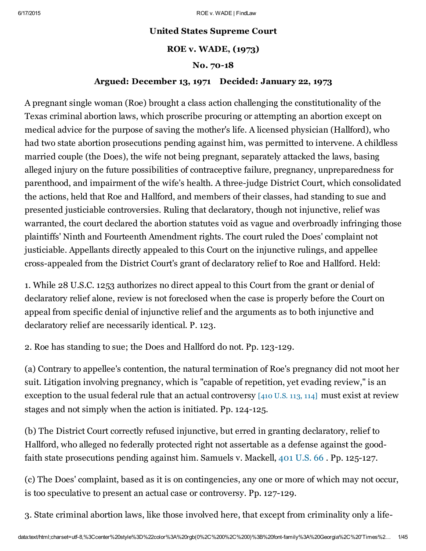# United States Supreme Court ROE v. WADE, (1973)

## No. 70-18

## Argued: December 13, 1971 Decided: January 22, 1973

A pregnant single woman (Roe) brought a class action challenging the constitutionality of the Texas criminal abortion laws, which proscribe procuring or attempting an abortion except on medical advice for the purpose of saving the mother's life. A licensed physician (Hallford), who had two state abortion prosecutions pending against him, was permitted to intervene. A childless married couple (the Does), the wife not being pregnant, separately attacked the laws, basing alleged injury on the future possibilities of contraceptive failure, pregnancy, unpreparedness for parenthood, and impairment of the wife's health. A three-judge District Court, which consolidated the actions, held that Roe and Hallford, and members of their classes, had standing to sue and presented justiciable controversies. Ruling that declaratory, though not injunctive, relief was warranted, the court declared the abortion statutes void as vague and overbroadly infringing those plaintiffs' Ninth and Fourteenth Amendment rights. The court ruled the Does' complaint not justiciable. Appellants directly appealed to this Court on the injunctive rulings, and appellee cross-appealed from the District Court's grant of declaratory relief to Roe and Hallford. Held:

1. While 28 U.S.C. 1253 authorizes no direct appeal to this Court from the grant or denial of declaratory relief alone, review is not foreclosed when the case is properly before the Court on appeal from specific denial of injunctive relief and the arguments as to both injunctive and declaratory relief are necessarily identical. P. 123.

2. Roe has standing to sue; the Does and Hallford do not. Pp. 123-129.

(a) Contrary to appellee's contention, the natural termination of Roe's pregnancy did not moot her suit. Litigation involving pregnancy, which is "capable of repetition, yet evading review," is an exception to the usual federal rule that an actual controversy [410 U.S. 113, 114] must exist at review stages and not simply when the action is initiated. Pp. 124-125.

(b) The District Court correctly refused injunctive, but erred in granting declaratory, relief to Hallford, who alleged no federally protected right not assertable as a defense against the good-faith state prosecutions pending against him. Samuels v. Mackell, 401 [U.S.](http://caselaw.findlaw.com/us-supreme-court/401/66.html) 66. Pp. 125-127.

(c) The Does' complaint, based as it is on contingencies, any one or more of which may not occur, is too speculative to present an actual case or controversy. Pp. 127-129.

3. State criminal abortion laws, like those involved here, that except from criminality only a life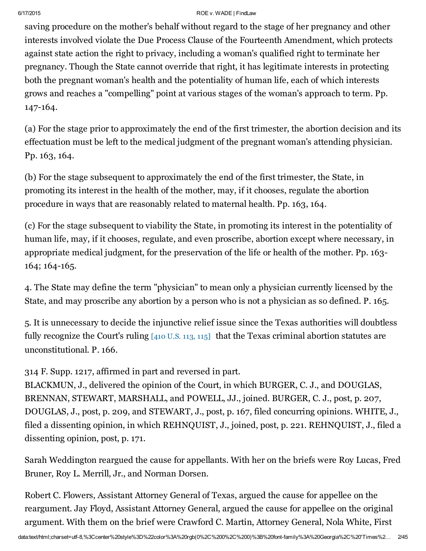saving procedure on the mother's behalf without regard to the stage of her pregnancy and other interests involved violate the Due Process Clause of the Fourteenth Amendment, which protects against state action the right to privacy, including a woman's qualified right to terminate her pregnancy. Though the State cannot override that right, it has legitimate interests in protecting both the pregnant woman's health and the potentiality of human life, each of which interests grows and reaches a "compelling" point at various stages of the woman's approach to term. Pp. 147-164.

(a) For the stage prior to approximately the end of the first trimester, the abortion decision and its effectuation must be left to the medical judgment of the pregnant woman's attending physician. Pp. 163, 164.

(b) For the stage subsequent to approximately the end of the first trimester, the State, in promoting its interest in the health of the mother, may, if it chooses, regulate the abortion procedure in ways that are reasonably related to maternal health. Pp. 163, 164.

(c) For the stage subsequent to viability the State, in promoting its interest in the potentiality of human life, may, if it chooses, regulate, and even proscribe, abortion except where necessary, in appropriate medical judgment, for the preservation of the life or health of the mother. Pp. 163-164; 164-165.

4. The State may define the term "physician" to mean only a physician currently licensed by the State, and may proscribe any abortion by a person who is not a physician as so defined. P. 165.

5. It is unnecessary to decide the injunctive relief issue since the Texas authorities will doubtless fully recognize the Court's ruling [410 U.S. 113, 115] that the Texas criminal abortion statutes are unconstitutional. P. 166.

314 F. Supp. 1217, affirmed in part and reversed in part.

BLACKMUN, J., delivered the opinion of the Court, in which BURGER, C. J., and DOUGLAS, BRENNAN, STEWART, MARSHALL, and POWELL, JJ., joined. BURGER, C. J., post, p. 207, DOUGLAS, J., post, p. 209, and STEWART, J., post, p. 167, filed concurring opinions. WHITE, J., filed a dissenting opinion, in which REHNQUIST, J., joined, post, p. 221. REHNQUIST, J., filed a dissenting opinion, post, p. 171.

Sarah Weddington reargued the cause for appellants. With her on the briefs were Roy Lucas, Fred Bruner, Roy L. Merrill, Jr., and Norman Dorsen.

Robert C. Flowers, Assistant Attorney General of Texas, argued the cause for appellee on the reargument. Jay Floyd, Assistant Attorney General, argued the cause for appellee on the original argument. With them on the brief were Crawford C. Martin, Attorney General, Nola White, First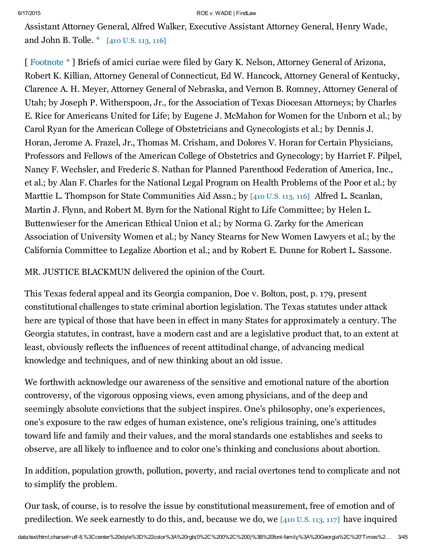Assistant Attorney General, Alfred Walker, Executive Assistant Attorney General, Henry Wade, and John B. Tolle. [\\*](http://caselaw.findlaw.com/us-supreme-court/410/113.html#f*) [410 U.S. 113, 116]

[ [Footnote](http://caselaw.findlaw.com/us-supreme-court/410/113.html#t*) \* ] Briefs of amici curiae were filed by Gary K. Nelson, Attorney General of Arizona, Robert K. Killian, Attorney General of Connecticut, Ed W. Hancock, Attorney General of Kentucky, Clarence A. H. Meyer, Attorney General of Nebraska, and Vernon B. Romney, Attorney General of Utah; by Joseph P. Witherspoon, Jr., for the Association of Texas Diocesan Attorneys; by Charles E. Rice for Americans United for Life; by Eugene J. McMahon for Women for the Unborn et al.; by Carol Ryan for the American College of Obstetricians and Gynecologists et al.; by Dennis J. Horan, Jerome A. Frazel, Jr., Thomas M. Crisham, and Dolores V. Horan for Certain Physicians, Professors and Fellows of the American College of Obstetrics and Gynecology; by Harriet F. Pilpel, Nancy F. Wechsler, and Frederic S. Nathan for Planned Parenthood Federation of America, Inc., et al.; by Alan F. Charles for the National Legal Program on Health Problems of the Poor et al.; by Marttie L. Thompson for State Communities Aid Assn.; by [410 U.S. 113, 116] Alfred L. Scanlan, Martin J. Flynn, and Robert M. Byrn for the National Right to Life Committee; by Helen L. Buttenwieser for the American Ethical Union et al.; by Norma G. Zarky for the American Association of University Women et al.; by Nancy Stearns for New Women Lawyers et al.; by the California Committee to Legalize Abortion et al.; and by Robert E. Dunne for Robert L. Sassone.

MR. JUSTICE BLACKMUN delivered the opinion of the Court.

This Texas federal appeal and its Georgia companion, Doe v. Bolton, post, p. 179, present constitutional challenges to state criminal abortion legislation. The Texas statutes under attack here are typical of those that have been in effect in many States for approximately a century. The Georgia statutes, in contrast, have a modern cast and are a legislative product that, to an extent at least, obviously reflects the influences of recent attitudinal change, of advancing medical knowledge and techniques, and of new thinking about an old issue.

We forthwith acknowledge our awareness of the sensitive and emotional nature of the abortion controversy, of the vigorous opposing views, even among physicians, and of the deep and seemingly absolute convictions that the subject inspires. One's philosophy, one's experiences, one's exposure to the raw edges of human existence, one's religious training, one's attitudes toward life and family and their values, and the moral standards one establishes and seeks to observe, are all likely to influence and to color one's thinking and conclusions about abortion.

In addition, population growth, pollution, poverty, and racial overtones tend to complicate and not to simplify the problem.

Our task, of course, is to resolve the issue by constitutional measurement, free of emotion and of predilection. We seek earnestly to do this, and, because we do, we [410 U.S. 113, 117] have inquired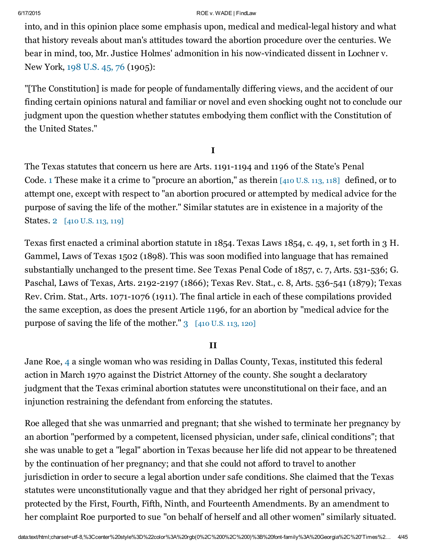into, and in this opinion place some emphasis upon, medical and medical-legal history and what that history reveals about man's attitudes toward the abortion procedure over the centuries. We bear in mind, too, Mr. Justice Holmes' admonition in his now-vindicated dissent in Lochner v. New York, 198 [U.S.](http://caselaw.findlaw.com/us-supreme-court/198/45.html#76) 45, 76 (1905):

"[The Constitution] is made for people of fundamentally differing views, and the accident of our finding certain opinions natural and familiar or novel and even shocking ought not to conclude our judgment upon the question whether statutes embodying them conflict with the Constitution of the United States."

## I

The Texas statutes that concern us here are Arts. 1191-1194 and 1196 of the State's Penal Code. [1](http://caselaw.findlaw.com/us-supreme-court/410/113.html#f1) These make it a crime to "procure an abortion," as therein [410 U.S. 113, 118] defined, or to attempt one, except with respect to "an abortion procured or attempted by medical advice for the purpose of saving the life of the mother." Similar statutes are in existence in a majority of the States. [2](http://caselaw.findlaw.com/us-supreme-court/410/113.html#f2) [410 U.S. 113, 119]

Texas first enacted a criminal abortion statute in 1854. Texas Laws 1854, c. 49, 1, set forth in 3 H. Gammel, Laws of Texas 1502 (1898). This was soon modified into language that has remained substantially unchanged to the present time. See Texas Penal Code of 1857, c. 7, Arts. 531-536; G. Paschal, Laws of Texas, Arts. 2192-2197 (1866); Texas Rev. Stat., c. 8, Arts. 536-541 (1879); Texas Rev. Crim. Stat., Arts. 1071-1076 (1911). The final article in each of these compilations provided the same exception, as does the present Article 1196, for an abortion by "medical advice for the purpose of saving the life of the mother."  $3\left[410 \text{ U.S. } 113, 120\right]$  $3\left[410 \text{ U.S. } 113, 120\right]$ 

## II

Jane Roe, [4](http://caselaw.findlaw.com/us-supreme-court/410/113.html#f4) a single woman who was residing in Dallas County, Texas, instituted this federal action in March 1970 against the District Attorney of the county. She sought a declaratory judgment that the Texas criminal abortion statutes were unconstitutional on their face, and an injunction restraining the defendant from enforcing the statutes.

Roe alleged that she was unmarried and pregnant; that she wished to terminate her pregnancy by an abortion "performed by a competent, licensed physician, under safe, clinical conditions"; that she was unable to get a "legal" abortion in Texas because her life did not appear to be threatened by the continuation of her pregnancy; and that she could not afford to travel to another jurisdiction in order to secure a legal abortion under safe conditions. She claimed that the Texas statutes were unconstitutionally vague and that they abridged her right of personal privacy, protected by the First, Fourth, Fifth, Ninth, and Fourteenth Amendments. By an amendment to her complaint Roe purported to sue "on behalf of herself and all other women" similarly situated.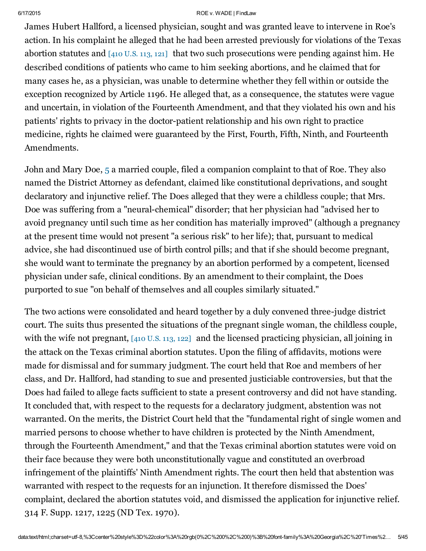James Hubert Hallford, a licensed physician, sought and was granted leave to intervene in Roe's action. In his complaint he alleged that he had been arrested previously for violations of the Texas abortion statutes and [410 U.S. 113, 121] that two such prosecutions were pending against him. He described conditions of patients who came to him seeking abortions, and he claimed that for many cases he, as a physician, was unable to determine whether they fell within or outside the exception recognized by Article 1196. He alleged that, as a consequence, the statutes were vague and uncertain, in violation of the Fourteenth Amendment, and that they violated his own and his patients' rights to privacy in the doctor-patient relationship and his own right to practice medicine, rights he claimed were guaranteed by the First, Fourth, Fifth, Ninth, and Fourteenth Amendments.

John and Mary Doe, [5](http://caselaw.findlaw.com/us-supreme-court/410/113.html#f5) a married couple, filed a companion complaint to that of Roe. They also named the District Attorney as defendant, claimed like constitutional deprivations, and sought declaratory and injunctive relief. The Does alleged that they were a childless couple; that Mrs. Doe was suffering from a "neural-chemical" disorder; that her physician had "advised her to avoid pregnancy until such time as her condition has materially improved" (although a pregnancy at the present time would not present "a serious risk" to her life); that, pursuant to medical advice, she had discontinued use of birth control pills; and that if she should become pregnant, she would want to terminate the pregnancy by an abortion performed by a competent, licensed physician under safe, clinical conditions. By an amendment to their complaint, the Does purported to sue "on behalf of themselves and all couples similarly situated."

The two actions were consolidated and heard together by a duly convened three-judge district court. The suits thus presented the situations of the pregnant single woman, the childless couple, with the wife not pregnant, [410 U.S. 113, 122] and the licensed practicing physician, all joining in the attack on the Texas criminal abortion statutes. Upon the filing of affidavits, motions were made for dismissal and for summary judgment. The court held that Roe and members of her class, and Dr. Hallford, had standing to sue and presented justiciable controversies, but that the Does had failed to allege facts sufficient to state a present controversy and did not have standing. It concluded that, with respect to the requests for a declaratory judgment, abstention was not warranted. On the merits, the District Court held that the "fundamental right of single women and married persons to choose whether to have children is protected by the Ninth Amendment, through the Fourteenth Amendment," and that the Texas criminal abortion statutes were void on their face because they were both unconstitutionally vague and constituted an overbroad infringement of the plaintiffs' Ninth Amendment rights. The court then held that abstention was warranted with respect to the requests for an injunction. It therefore dismissed the Does' complaint, declared the abortion statutes void, and dismissed the application for injunctive relief. 314 F. Supp. 1217, 1225 (ND Tex. 1970).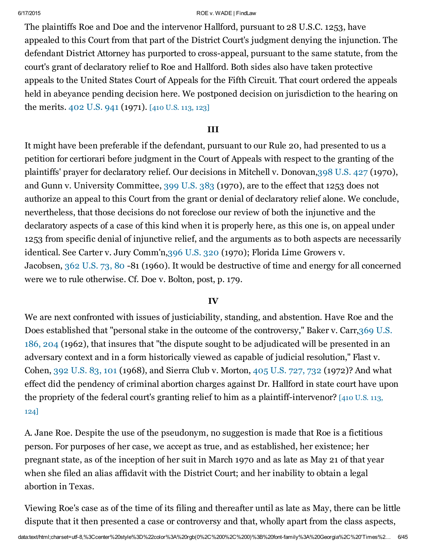The plaintiffs Roe and Doe and the intervenor Hallford, pursuant to 28 U.S.C. 1253, have appealed to this Court from that part of the District Court's judgment denying the injunction. The defendant District Attorney has purported to cross-appeal, pursuant to the same statute, from the court's grant of declaratory relief to Roe and Hallford. Both sides also have taken protective appeals to the United States Court of Appeals for the Fifth Circuit. That court ordered the appeals held in abeyance pending decision here. We postponed decision on jurisdiction to the hearing on the merits. 402 [U.S.](http://caselaw.findlaw.com/us-supreme-court/402/941.html) 941 (1971). [410 U.S. 113, 123]

## III

It might have been preferable if the defendant, pursuant to our Rule 20, had presented to us a petition for certiorari before judgment in the Court of Appeals with respect to the granting of the plaintiffs' prayer for declaratory relief. Our decisions in Mitchell v. Donovan,398 [U.S.](http://caselaw.findlaw.com/us-supreme-court/398/427.html) 427 (1970), and Gunn v. University Committee, 399 [U.S.](http://caselaw.findlaw.com/us-supreme-court/399/383.html) 383 (1970), are to the effect that 1253 does not authorize an appeal to this Court from the grant or denial of declaratory relief alone. We conclude, nevertheless, that those decisions do not foreclose our review of both the injunctive and the declaratory aspects of a case of this kind when it is properly here, as this one is, on appeal under 1253 from specific denial of injunctive relief, and the arguments as to both aspects are necessarily identical. See Carter v. Jury Comm'n,396 [U.S.](http://caselaw.findlaw.com/us-supreme-court/396/320.html) 320 (1970); Florida Lime Growers v. Jacobsen, 362 [U.S.](http://caselaw.findlaw.com/us-supreme-court/362/73.html#80) 73, 80 -81 (1960). It would be destructive of time and energy for all concerned were we to rule otherwise. Cf. Doe v. Bolton, post, p. 179.

## IV

We are next confronted with issues of justiciability, standing, and abstention. Have Roe and the Does established that "personal stake in the outcome of the [controversy,"](http://caselaw.findlaw.com/us-supreme-court/369/186.html#204) Baker v. Carr,369 U.S. 186, 204 (1962), that insures that "the dispute sought to be adjudicated will be presented in an adversary context and in a form historically viewed as capable of judicial resolution," Flast v. Cohen, 392 [U.S.](http://caselaw.findlaw.com/us-supreme-court/392/83.html#101) 83, 101 (1968), and Sierra Club v. Morton, 405 U.S. [727,](http://caselaw.findlaw.com/us-supreme-court/405/727.html#732) 732 (1972)? And what effect did the pendency of criminal abortion charges against Dr. Hallford in state court have upon the propriety of the federal court's granting relief to him as a plaintiff-intervenor?  $[410 \text{ U.S. } 113,$ 124]

A. Jane Roe. Despite the use of the pseudonym, no suggestion is made that Roe is a fictitious person. For purposes of her case, we accept as true, and as established, her existence; her pregnant state, as of the inception of her suit in March 1970 and as late as May 21 of that year when she filed an alias affidavit with the District Court; and her inability to obtain a legal abortion in Texas.

Viewing Roe's case as of the time of its filing and thereafter until as late as May, there can be little dispute that it then presented a case or controversy and that, wholly apart from the class aspects,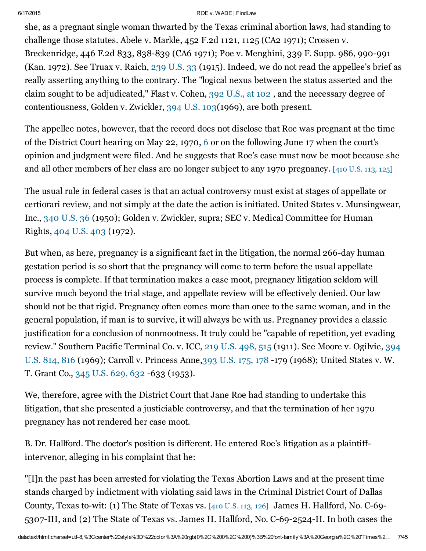she, as a pregnant single woman thwarted by the Texas criminal abortion laws, had standing to challenge those statutes. Abele v. Markle, 452 F.2d 1121, 1125 (CA2 1971); Crossen v. Breckenridge, 446 F.2d 833, 838-839 (CA6 1971); Poe v. Menghini, 339 F. Supp. 986, 990-991 (Kan. 1972). See Truax v. Raich, 239 [U.S.](http://caselaw.findlaw.com/us-supreme-court/239/33.html) 33 (1915). Indeed, we do not read the appellee's brief as really asserting anything to the contrary. The "logical nexus between the status asserted and the claim sought to be adjudicated," Flast v. Cohen, 392 [U.S.,](http://caselaw.findlaw.com/us-supreme-court/392/83.html#102) at 102 , and the necessary degree of contentiousness, Golden v. Zwickler, 394 [U.S.](http://caselaw.findlaw.com/us-supreme-court/394/103.html) 103(1969), are both present.

The appellee notes, however, that the record does not disclose that Roe was pregnant at the time of the District Court hearing on May 22, 1970, [6](http://caselaw.findlaw.com/us-supreme-court/410/113.html#f6) or on the following June 17 when the court's opinion and judgment were filed. And he suggests that Roe's case must now be moot because she and all other members of her class are no longer subject to any 1970 pregnancy. [410 U.S. 113, 125]

The usual rule in federal cases is that an actual controversy must exist at stages of appellate or certiorari review, and not simply at the date the action is initiated. United States v. Munsingwear, Inc., 340 [U.S.](http://caselaw.findlaw.com/us-supreme-court/340/36.html) 36 (1950); Golden v. Zwickler, supra; SEC v. Medical Committee for Human Rights, 404 [U.S.](http://caselaw.findlaw.com/us-supreme-court/404/403.html) 403 (1972).

But when, as here, pregnancy is a significant fact in the litigation, the normal 266-day human gestation period is so short that the pregnancy will come to term before the usual appellate process is complete. If that termination makes a case moot, pregnancy litigation seldom will survive much beyond the trial stage, and appellate review will be effectively denied. Our law should not be that rigid. Pregnancy often comes more than once to the same woman, and in the general population, if man is to survive, it will always be with us. Pregnancy provides a classic justification for a conclusion of nonmootness. It truly could be "capable of repetition, yet evading review." Southern Pacific Terminal Co. v. ICC, 219 U.S. [498,](http://caselaw.findlaw.com/us-supreme-court/219/498.html#515) 515 (1911). See Moore v. Ogilvie, 394 U.S. 814, 816 (1969); Carroll v. Princess [Anne,393](http://caselaw.findlaw.com/us-supreme-court/394/814.html#816) [U.S.](http://caselaw.findlaw.com/us-supreme-court/393/175.html#178) 175, 178 179 (1968); United States v. W. T. Grant Co., 345 U.S. [629,](http://caselaw.findlaw.com/us-supreme-court/345/629.html#632) 632 -633 (1953).

We, therefore, agree with the District Court that Jane Roe had standing to undertake this litigation, that she presented a justiciable controversy, and that the termination of her 1970 pregnancy has not rendered her case moot.

B. Dr. Hallford. The doctor's position is different. He entered Roe's litigation as a plaintiffintervenor, alleging in his complaint that he:

"[I]n the past has been arrested for violating the Texas Abortion Laws and at the present time stands charged by indictment with violating said laws in the Criminal District Court of Dallas County, Texas to-wit: (1) The State of Texas vs.  $[410 \text{ U.S. } 113, 126]$  James H. Hallford, No. C-69-5307-IH, and (2) The State of Texas vs. James H. Hallford, No. C-69-2524-H. In both cases the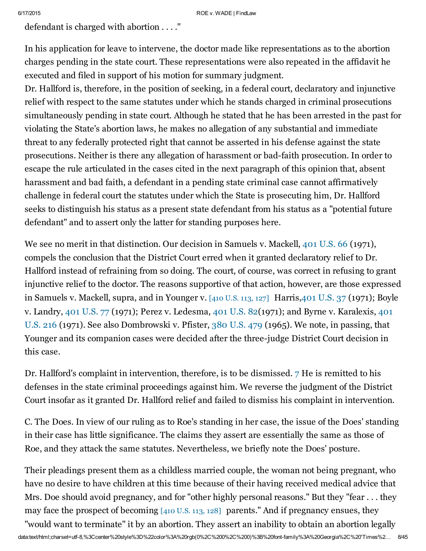defendant is charged with abortion . . . ."

In his application for leave to intervene, the doctor made like representations as to the abortion charges pending in the state court. These representations were also repeated in the affidavit he executed and filed in support of his motion for summary judgment.

Dr. Hallford is, therefore, in the position of seeking, in a federal court, declaratory and injunctive relief with respect to the same statutes under which he stands charged in criminal prosecutions simultaneously pending in state court. Although he stated that he has been arrested in the past for violating the State's abortion laws, he makes no allegation of any substantial and immediate threat to any federally protected right that cannot be asserted in his defense against the state prosecutions. Neither is there any allegation of harassment or bad-faith prosecution. In order to escape the rule articulated in the cases cited in the next paragraph of this opinion that, absent harassment and bad faith, a defendant in a pending state criminal case cannot affirmatively challenge in federal court the statutes under which the State is prosecuting him, Dr. Hallford seeks to distinguish his status as a present state defendant from his status as a "potential future defendant" and to assert only the latter for standing purposes here.

We see no merit in that distinction. Our decision in Samuels v. Mackell, 401 [U.S.](http://caselaw.findlaw.com/us-supreme-court/401/66.html) 66 (1971), compels the conclusion that the District Court erred when it granted declaratory relief to Dr. Hallford instead of refraining from so doing. The court, of course, was correct in refusing to grant injunctive relief to the doctor. The reasons supportive of that action, however, are those expressed in Samuels v. Mackell, supra, and in Younger v. [410 U.S. 113, 127] Harris,401 [U.S.](http://caselaw.findlaw.com/us-supreme-court/401/37.html) 37 (1971); Boyle v. Landry, 401 [U.S.](http://caselaw.findlaw.com/us-supreme-court/401/77.html) 77 (1971); Perez v. Ledesma, 401 [U.S.](http://caselaw.findlaw.com/us-supreme-court/401/82.html) 82(1971); and Byrne v. Karalexis, 401 U.S. 216 (1971). See also [Dombrowski](http://caselaw.findlaw.com/us-supreme-court/401/216.html) v. Pfister, 380 [U.S.](http://caselaw.findlaw.com/us-supreme-court/380/479.html) 479 (1965). We note, in passing, that Younger and its companion cases were decided after the three-judge District Court decision in this case.

Dr. Hallford's complaint in intervention, therefore, is to be dismissed. [7](http://caselaw.findlaw.com/us-supreme-court/410/113.html#f7) He is remitted to his defenses in the state criminal proceedings against him. We reverse the judgment of the District Court insofar as it granted Dr. Hallford relief and failed to dismiss his complaint in intervention.

C. The Does. In view of our ruling as to Roe's standing in her case, the issue of the Does' standing in their case has little significance. The claims they assert are essentially the same as those of Roe, and they attack the same statutes. Nevertheless, we briefly note the Does' posture.

Their pleadings present them as a childless married couple, the woman not being pregnant, who have no desire to have children at this time because of their having received medical advice that Mrs. Doe should avoid pregnancy, and for "other highly personal reasons." But they "fear . . . they may face the prospect of becoming [410 U.S. 113, 128] parents." And if pregnancy ensues, they

data:text/html;charset=utf8,%3Ccenter%20style%3D%22color%3A%20rgb(0%2C%200%2C%200)%3B%20fontfamily%3A%20Georgia%2C%20'Times%2… 8/45 "would want to terminate" it by an abortion. They assert an inability to obtain an abortion legally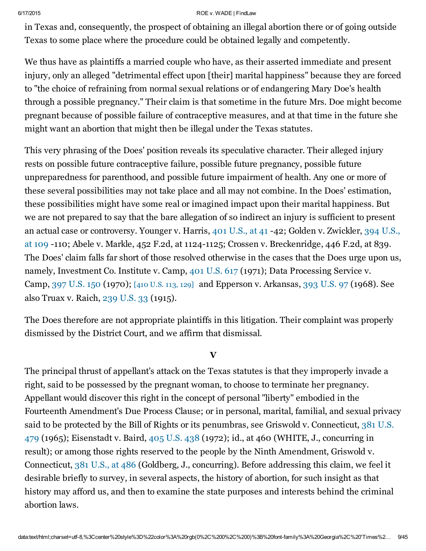in Texas and, consequently, the prospect of obtaining an illegal abortion there or of going outside Texas to some place where the procedure could be obtained legally and competently.

We thus have as plaintiffs a married couple who have, as their asserted immediate and present injury, only an alleged "detrimental effect upon [their] marital happiness" because they are forced to "the choice of refraining from normal sexual relations or of endangering Mary Doe's health through a possible pregnancy." Their claim is that sometime in the future Mrs. Doe might become pregnant because of possible failure of contraceptive measures, and at that time in the future she might want an abortion that might then be illegal under the Texas statutes.

This very phrasing of the Does' position reveals its speculative character. Their alleged injury rests on possible future contraceptive failure, possible future pregnancy, possible future unpreparedness for parenthood, and possible future impairment of health. Any one or more of these several possibilities may not take place and all may not combine. In the Does' estimation, these possibilities might have some real or imagined impact upon their marital happiness. But we are not prepared to say that the bare allegation of so indirect an injury is sufficient to present an actual case or controversy. Younger v. Harris, 401 [U.S.,](http://caselaw.findlaw.com/us-supreme-court/401/37.html#41) at 41 42; Golden v. Zwickler, 394 U.S., at 109 -110; Abele v. Markle, 452 F.2d, at 1124-1125; Crossen v. [Breckenridge,](http://caselaw.findlaw.com/us-supreme-court/394/103.html#109) 446 F.2d, at 839. The Does' claim falls far short of those resolved otherwise in the cases that the Does urge upon us, namely, Investment Co. Institute v. Camp, 401 [U.S.](http://caselaw.findlaw.com/us-supreme-court/401/617.html) 617 (1971); Data Processing Service v. Camp, 397 [U.S.](http://caselaw.findlaw.com/us-supreme-court/397/150.html) 150 (1970); [410 U.S. 113, 129] and Epperson v. Arkansas, 393 [U.S.](http://caselaw.findlaw.com/us-supreme-court/393/97.html) 97 (1968). See also Truax v. Raich, 239 [U.S.](http://caselaw.findlaw.com/us-supreme-court/239/33.html) 33 (1915).

The Does therefore are not appropriate plaintiffs in this litigation. Their complaint was properly dismissed by the District Court, and we affirm that dismissal.

## V

The principal thrust of appellant's attack on the Texas statutes is that they improperly invade a right, said to be possessed by the pregnant woman, to choose to terminate her pregnancy. Appellant would discover this right in the concept of personal "liberty" embodied in the Fourteenth Amendment's Due Process Clause; or in personal, marital, familial, and sexual privacy said to be protected by the Bill of Rights or its penumbras, see Griswold v. [Connecticut,](http://caselaw.findlaw.com/us-supreme-court/381/479.html) 381 U.S. 479 (1965); Eisenstadt v. Baird, 405 [U.S.](http://caselaw.findlaw.com/us-supreme-court/405/438.html) 438 (1972); id., at 460 (WHITE, J., concurring in result); or among those rights reserved to the people by the Ninth Amendment, Griswold v. Connecticut, 381 [U.S.,](http://caselaw.findlaw.com/us-supreme-court/381/479.html#486) at 486 (Goldberg, J., concurring). Before addressing this claim, we feel it desirable briefly to survey, in several aspects, the history of abortion, for such insight as that history may afford us, and then to examine the state purposes and interests behind the criminal abortion laws.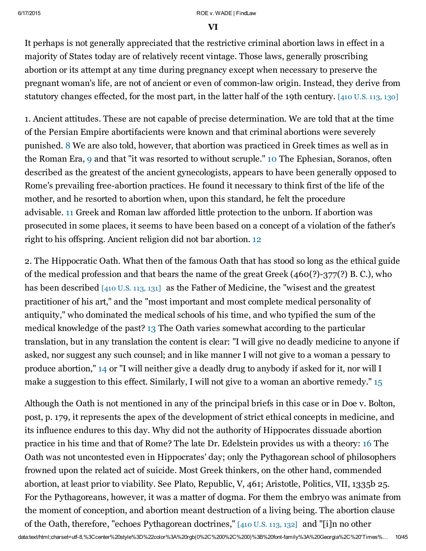VI

It perhaps is not generally appreciated that the restrictive criminal abortion laws in effect in a majority of States today are of relatively recent vintage. Those laws, generally proscribing abortion or its attempt at any time during pregnancy except when necessary to preserve the pregnant woman's life, are not of ancient or even of common-law origin. Instead, they derive from statutory changes effected, for the most part, in the latter half of the 19th century. [410 U.S. 113, 130]

1. Ancient attitudes. These are not capable of precise determination. We are told that at the time of the Persian Empire abortifacients were known and that criminal abortions were severely punished. [8](http://caselaw.findlaw.com/us-supreme-court/410/113.html#f8) We are also told, however, that abortion was practiced in Greek times as well as in the Roman Era, [9](http://caselaw.findlaw.com/us-supreme-court/410/113.html#f9) and that "it was resorted to without scruple." [10](http://caselaw.findlaw.com/us-supreme-court/410/113.html#f10) The Ephesian, Soranos, often described as the greatest of the ancient gynecologists, appears to have been generally opposed to Rome's prevailing free-abortion practices. He found it necessary to think first of the life of the mother, and he resorted to abortion when, upon this standard, he felt the procedure advisable. [11](http://caselaw.findlaw.com/us-supreme-court/410/113.html#f11) Greek and Roman law afforded little protection to the unborn. If abortion was prosecuted in some places, it seems to have been based on a concept of a violation of the father's right to his offspring. Ancient religion did not bar abortion. [12](http://caselaw.findlaw.com/us-supreme-court/410/113.html#f12)

2. The Hippocratic Oath. What then of the famous Oath that has stood so long as the ethical guide of the medical profession and that bears the name of the great Greek  $(460$ (?)- $377$ (?) B. C.), who has been described [410 U.S. 113, 131] as the Father of Medicine, the "wisest and the greatest practitioner of his art," and the "most important and most complete medical personality of antiquity," who dominated the medical schools of his time, and who typified the sum of the medical knowledge of the past? [13](http://caselaw.findlaw.com/us-supreme-court/410/113.html#f13) The Oath varies somewhat according to the particular translation, but in any translation the content is clear: "I will give no deadly medicine to anyone if asked, nor suggest any such counsel; and in like manner I will not give to a woman a pessary to produce abortion," [14](http://caselaw.findlaw.com/us-supreme-court/410/113.html#f14) or "I will neither give a deadly drug to anybody if asked for it, nor will I make a suggestion to this effect. Similarly, I will not give to a woman an abortive remedy." [15](http://caselaw.findlaw.com/us-supreme-court/410/113.html#f15)

Although the Oath is not mentioned in any of the principal briefs in this case or in Doe v. Bolton, post, p. 179, it represents the apex of the development of strict ethical concepts in medicine, and its influence endures to this day. Why did not the authority of Hippocrates dissuade abortion practice in his time and that of Rome? The late Dr. Edelstein provides us with a theory: [16](http://caselaw.findlaw.com/us-supreme-court/410/113.html#f16) The Oath was not uncontested even in Hippocrates' day; only the Pythagorean school of philosophers frowned upon the related act of suicide. Most Greek thinkers, on the other hand, commended abortion, at least prior to viability. See Plato, Republic, V, 461; Aristotle, Politics, VII, 1335b 25. For the Pythagoreans, however, it was a matter of dogma. For them the embryo was animate from the moment of conception, and abortion meant destruction of a living being. The abortion clause of the Oath, therefore, "echoes Pythagorean doctrines," [410 U.S. 113, 132] and "[i]n no other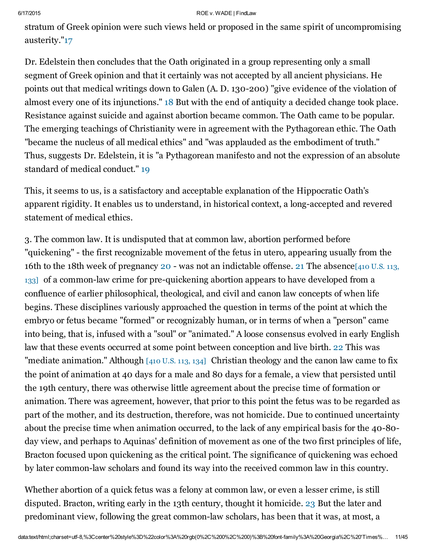stratum of Greek opinion were such views held or proposed in the same spirit of uncompromising austerity.["17](http://caselaw.findlaw.com/us-supreme-court/410/113.html#f17)

Dr. Edelstein then concludes that the Oath originated in a group representing only a small segment of Greek opinion and that it certainly was not accepted by all ancient physicians. He points out that medical writings down to Galen (A. D. 130-200) "give evidence of the violation of almost every one of its injunctions." [18](http://caselaw.findlaw.com/us-supreme-court/410/113.html#f18) But with the end of antiquity a decided change took place. Resistance against suicide and against abortion became common. The Oath came to be popular. The emerging teachings of Christianity were in agreement with the Pythagorean ethic. The Oath "became the nucleus of all medical ethics" and "was applauded as the embodiment of truth." Thus, suggests Dr. Edelstein, it is "a Pythagorean manifesto and not the expression of an absolute standard of medical conduct." [19](http://caselaw.findlaw.com/us-supreme-court/410/113.html#f19)

This, it seems to us, is a satisfactory and acceptable explanation of the Hippocratic Oath's apparent rigidity. It enables us to understand, in historical context, a long-accepted and revered statement of medical ethics.

3. The common law. It is undisputed that at common law, abortion performed before "quickening" - the first recognizable movement of the fetus in utero, appearing usually from the 16th to the 18th week of pregnancy  $20$  - was not an indictable offense. [21](http://caselaw.findlaw.com/us-supreme-court/410/113.html#f21) The absence  $[410 \text{ U.S. } 113,$  $133$ ] of a common-law crime for pre-quickening abortion appears to have developed from a confluence of earlier philosophical, theological, and civil and canon law concepts of when life begins. These disciplines variously approached the question in terms of the point at which the embryo or fetus became "formed" or recognizably human, or in terms of when a "person" came into being, that is, infused with a "soul" or "animated." A loose consensus evolved in early English law that these events occurred at some point between conception and live birth. [22](http://caselaw.findlaw.com/us-supreme-court/410/113.html#f22) This was "mediate animation." Although  $[410 \text{ U.S. } 113, 134]$  Christian theology and the canon law came to fix the point of animation at 40 days for a male and 80 days for a female, a view that persisted until the 19th century, there was otherwise little agreement about the precise time of formation or animation. There was agreement, however, that prior to this point the fetus was to be regarded as part of the mother, and its destruction, therefore, was not homicide. Due to continued uncertainty about the precise time when animation occurred, to the lack of any empirical basis for the 40-80day view, and perhaps to Aquinas' definition of movement as one of the two first principles of life, Bracton focused upon quickening as the critical point. The significance of quickening was echoed by later common-law scholars and found its way into the received common law in this country.

Whether abortion of a quick fetus was a felony at common law, or even a lesser crime, is still disputed. Bracton, writing early in the 13th century, thought it homicide. [23](http://caselaw.findlaw.com/us-supreme-court/410/113.html#f23) But the later and predominant view, following the great common-law scholars, has been that it was, at most, a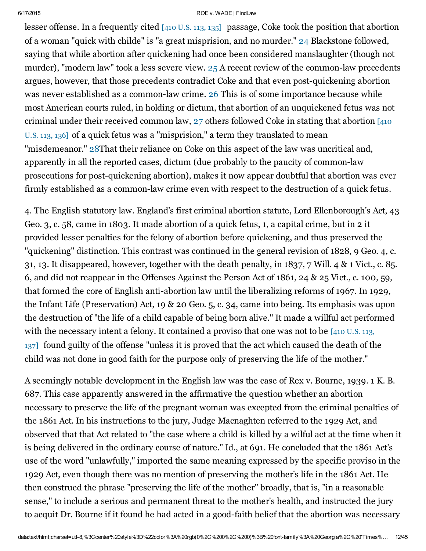lesser offense. In a frequently cited [410 U.S. 113, 135] passage, Coke took the position that abortion of a woman "quick with childe" is "a great misprision, and no murder." [24](http://caselaw.findlaw.com/us-supreme-court/410/113.html#f24) Blackstone followed, saying that while abortion after quickening had once been considered manslaughter (though not murder), "modern law" took a less severe view.  $25$  A recent review of the common-law precedents argues, however, that those precedents contradict Coke and that even post-quickening abortion was never established as a common-law crime. [26](http://caselaw.findlaw.com/us-supreme-court/410/113.html#f26) This is of some importance because while most American courts ruled, in holding or dictum, that abortion of an unquickened fetus was not criminal under their received common law, [27](http://caselaw.findlaw.com/us-supreme-court/410/113.html#f27) others followed Coke in stating that abortion [410 U.S. 113, 136] of a quick fetus was a "misprision," a term they translated to mean "misdemeanor." [28T](http://caselaw.findlaw.com/us-supreme-court/410/113.html#f28)hat their reliance on Coke on this aspect of the law was uncritical and, apparently in all the reported cases, dictum (due probably to the paucity of common-law prosecutions for post-quickening abortion), makes it now appear doubtful that abortion was ever firmly established as a common-law crime even with respect to the destruction of a quick fetus.

4. The English statutory law. England's first criminal abortion statute, Lord Ellenborough's Act, 43 Geo. 3, c. 58, came in 1803. It made abortion of a quick fetus, 1, a capital crime, but in 2 it provided lesser penalties for the felony of abortion before quickening, and thus preserved the "quickening" distinction. This contrast was continued in the general revision of 1828, 9 Geo. 4, c. 31, 13. It disappeared, however, together with the death penalty, in 1837, 7 Will. 4 & 1 Vict., c. 85. 6, and did not reappear in the Offenses Against the Person Act of 1861, 24 & 25 Vict., c. 100, 59, that formed the core of English anti-abortion law until the liberalizing reforms of 1967. In 1929, the Infant Life (Preservation) Act, 19 & 20 Geo. 5, c. 34, came into being. Its emphasis was upon the destruction of "the life of a child capable of being born alive." It made a willful act performed with the necessary intent a felony. It contained a proviso that one was not to be  $[410 \text{ U.S. } 113,$ 137] found guilty of the offense "unless it is proved that the act which caused the death of the child was not done in good faith for the purpose only of preserving the life of the mother."

A seemingly notable development in the English law was the case of Rex v. Bourne, 1939. 1 K. B. 687. This case apparently answered in the affirmative the question whether an abortion necessary to preserve the life of the pregnant woman was excepted from the criminal penalties of the 1861 Act. In his instructions to the jury, Judge Macnaghten referred to the 1929 Act, and observed that that Act related to "the case where a child is killed by a wilful act at the time when it is being delivered in the ordinary course of nature." Id., at 691. He concluded that the 1861 Act's use of the word "unlawfully," imported the same meaning expressed by the specific proviso in the 1929 Act, even though there was no mention of preserving the mother's life in the 1861 Act. He then construed the phrase "preserving the life of the mother" broadly, that is, "in a reasonable sense," to include a serious and permanent threat to the mother's health, and instructed the jury to acquit Dr. Bourne if it found he had acted in a good-faith belief that the abortion was necessary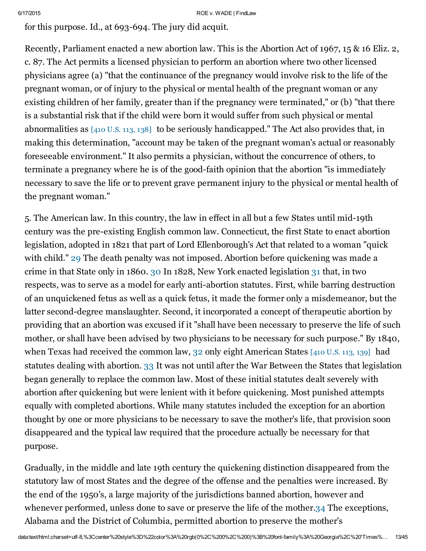for this purpose. Id., at 693-694. The jury did acquit.

Recently, Parliament enacted a new abortion law. This is the Abortion Act of 1967, 15 & 16 Eliz. 2, c. 87. The Act permits a licensed physician to perform an abortion where two other licensed physicians agree (a) "that the continuance of the pregnancy would involve risk to the life of the pregnant woman, or of injury to the physical or mental health of the pregnant woman or any existing children of her family, greater than if the pregnancy were terminated," or (b) "that there is a substantial risk that if the child were born it would suffer from such physical or mental abnormalities as [410 U.S. 113, 138] to be seriously handicapped." The Act also provides that, in making this determination, "account may be taken of the pregnant woman's actual or reasonably foreseeable environment." It also permits a physician, without the concurrence of others, to terminate a pregnancy where he is of the good-faith opinion that the abortion "is immediately necessary to save the life or to prevent grave permanent injury to the physical or mental health of the pregnant woman."

5. The American law. In this country, the law in effect in all but a few States until mid-19th century was the pre-existing English common law. Connecticut, the first State to enact abortion legislation, adopted in 1821 that part of Lord Ellenborough's Act that related to a woman "quick with child." [29](http://caselaw.findlaw.com/us-supreme-court/410/113.html#f29) The death penalty was not imposed. Abortion before quickening was made a crime in that State only in 1860. [30](http://caselaw.findlaw.com/us-supreme-court/410/113.html#f30) In 1828, New York enacted legislation [31](http://caselaw.findlaw.com/us-supreme-court/410/113.html#f31) that, in two respects, was to serve as a model for early anti-abortion statutes. First, while barring destruction of an unquickened fetus as well as a quick fetus, it made the former only a misdemeanor, but the latter second-degree manslaughter. Second, it incorporated a concept of therapeutic abortion by providing that an abortion was excused if it "shall have been necessary to preserve the life of such mother, or shall have been advised by two physicians to be necessary for such purpose." By 1840, when Texas had received the common law, [32](http://caselaw.findlaw.com/us-supreme-court/410/113.html#f32) only eight American States [410 U.S. 113, 139] had statutes dealing with abortion. [33](http://caselaw.findlaw.com/us-supreme-court/410/113.html#f33) It was not until after the War Between the States that legislation began generally to replace the common law. Most of these initial statutes dealt severely with abortion after quickening but were lenient with it before quickening. Most punished attempts equally with completed abortions. While many statutes included the exception for an abortion thought by one or more physicians to be necessary to save the mother's life, that provision soon disappeared and the typical law required that the procedure actually be necessary for that purpose.

Gradually, in the middle and late 19th century the quickening distinction disappeared from the statutory law of most States and the degree of the offense and the penalties were increased. By the end of the 1950's, a large majority of the jurisdictions banned abortion, however and whenever performed, unless done to save or preserve the life of the mother[.34](http://caselaw.findlaw.com/us-supreme-court/410/113.html#f34) The exceptions, Alabama and the District of Columbia, permitted abortion to preserve the mother's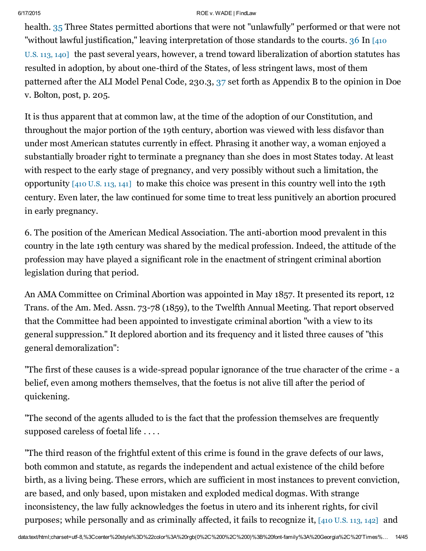health. [35](http://caselaw.findlaw.com/us-supreme-court/410/113.html#f35) Three States permitted abortions that were not "unlawfully" performed or that were not "without lawful justification," leaving interpretation of those standards to the courts. [36](http://caselaw.findlaw.com/us-supreme-court/410/113.html#f36) In [410 U.S. 113, 140] the past several years, however, a trend toward liberalization of abortion statutes has resulted in adoption, by about one-third of the States, of less stringent laws, most of them patterned after the ALI Model Penal Code, 230.3, [37](http://caselaw.findlaw.com/us-supreme-court/410/113.html#f37) set forth as Appendix B to the opinion in Doe v. Bolton, post, p. 205.

It is thus apparent that at common law, at the time of the adoption of our Constitution, and throughout the major portion of the 19th century, abortion was viewed with less disfavor than under most American statutes currently in effect. Phrasing it another way, a woman enjoyed a substantially broader right to terminate a pregnancy than she does in most States today. At least with respect to the early stage of pregnancy, and very possibly without such a limitation, the opportunity  $[410 \text{ U.S. } 113, 141]$  to make this choice was present in this country well into the 19th century. Even later, the law continued for some time to treat less punitively an abortion procured in early pregnancy.

6. The position of the American Medical Association. The anti-abortion mood prevalent in this country in the late 19th century was shared by the medical profession. Indeed, the attitude of the profession may have played a significant role in the enactment of stringent criminal abortion legislation during that period.

An AMA Committee on Criminal Abortion was appointed in May 1857. It presented its report, 12 Trans. of the Am. Med. Assn. 73-78 (1859), to the Twelfth Annual Meeting. That report observed that the Committee had been appointed to investigate criminal abortion "with a view to its general suppression." It deplored abortion and its frequency and it listed three causes of "this general demoralization":

"The first of these causes is a wide-spread popular ignorance of the true character of the crime - a belief, even among mothers themselves, that the foetus is not alive till after the period of quickening.

"The second of the agents alluded to is the fact that the profession themselves are frequently supposed careless of foetal life . . . .

"The third reason of the frightful extent of this crime is found in the grave defects of our laws, both common and statute, as regards the independent and actual existence of the child before birth, as a living being. These errors, which are sufficient in most instances to prevent conviction, are based, and only based, upon mistaken and exploded medical dogmas. With strange inconsistency, the law fully acknowledges the foetus in utero and its inherent rights, for civil purposes; while personally and as criminally affected, it fails to recognize it, [410 U.S. 113, 142] and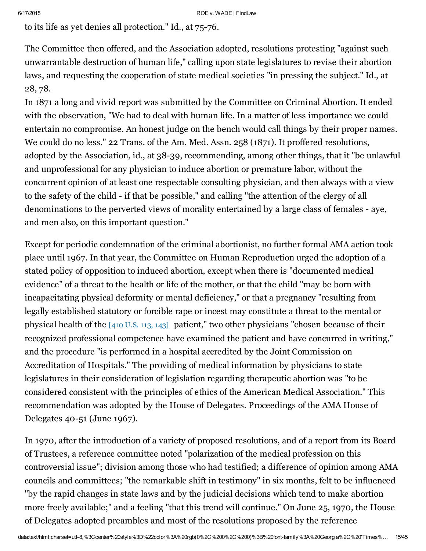to its life as yet denies all protection." Id., at 75-76.

The Committee then offered, and the Association adopted, resolutions protesting "against such unwarrantable destruction of human life," calling upon state legislatures to revise their abortion laws, and requesting the cooperation of state medical societies "in pressing the subject." Id., at 28, 78.

In 1871 a long and vivid report was submitted by the Committee on Criminal Abortion. It ended with the observation, "We had to deal with human life. In a matter of less importance we could entertain no compromise. An honest judge on the bench would call things by their proper names. We could do no less." 22 Trans. of the Am. Med. Assn. 258 (1871). It proffered resolutions, adopted by the Association, id., at 38-39, recommending, among other things, that it "be unlawful and unprofessional for any physician to induce abortion or premature labor, without the concurrent opinion of at least one respectable consulting physician, and then always with a view to the safety of the child - if that be possible," and calling "the attention of the clergy of all denominations to the perverted views of morality entertained by a large class of females - aye, and men also, on this important question."

Except for periodic condemnation of the criminal abortionist, no further formal AMA action took place until 1967. In that year, the Committee on Human Reproduction urged the adoption of a stated policy of opposition to induced abortion, except when there is "documented medical evidence" of a threat to the health or life of the mother, or that the child "may be born with incapacitating physical deformity or mental deficiency," or that a pregnancy "resulting from legally established statutory or forcible rape or incest may constitute a threat to the mental or physical health of the [410 U.S. 113, 143] patient," two other physicians "chosen because of their recognized professional competence have examined the patient and have concurred in writing," and the procedure "is performed in a hospital accredited by the Joint Commission on Accreditation of Hospitals." The providing of medical information by physicians to state legislatures in their consideration of legislation regarding therapeutic abortion was "to be considered consistent with the principles of ethics of the American Medical Association." This recommendation was adopted by the House of Delegates. Proceedings of the AMA House of Delegates 40-51 (June 1967).

In 1970, after the introduction of a variety of proposed resolutions, and of a report from its Board of Trustees, a reference committee noted "polarization of the medical profession on this controversial issue"; division among those who had testified; a difference of opinion among AMA councils and committees; "the remarkable shift in testimony" in six months, felt to be influenced "by the rapid changes in state laws and by the judicial decisions which tend to make abortion more freely available;" and a feeling "that this trend will continue." On June 25, 1970, the House of Delegates adopted preambles and most of the resolutions proposed by the reference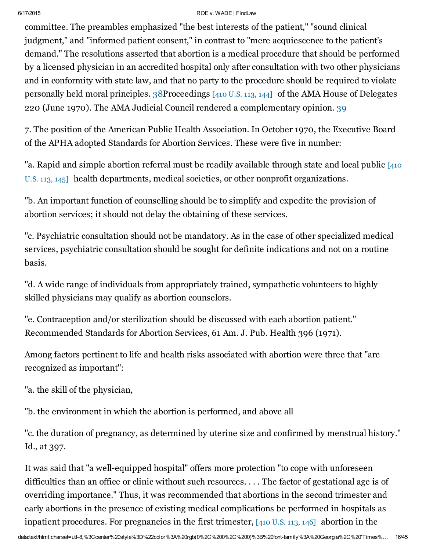committee. The preambles emphasized "the best interests of the patient," "sound clinical judgment," and "informed patient consent," in contrast to "mere acquiescence to the patient's demand." The resolutions asserted that abortion is a medical procedure that should be performed by a licensed physician in an accredited hospital only after consultation with two other physicians and in conformity with state law, and that no party to the procedure should be required to violate personally held moral principles. [38](http://caselaw.findlaw.com/us-supreme-court/410/113.html#f38)Proceedings [410 U.S. 113, 144] of the AMA House of Delegates 220 (June 1970). The AMA Judicial Council rendered a complementary opinion. [39](http://caselaw.findlaw.com/us-supreme-court/410/113.html#f39)

7. The position of the American Public Health Association. In October 1970, the Executive Board of the APHA adopted Standards for Abortion Services. These were five in number:

"a. Rapid and simple abortion referral must be readily available through state and local public [410 U.S. 113, 145] health departments, medical societies, or other nonprofit organizations.

"b. An important function of counselling should be to simplify and expedite the provision of abortion services; it should not delay the obtaining of these services.

"c. Psychiatric consultation should not be mandatory. As in the case of other specialized medical services, psychiatric consultation should be sought for definite indications and not on a routine basis.

"d. A wide range of individuals from appropriately trained, sympathetic volunteers to highly skilled physicians may qualify as abortion counselors.

"e. Contraception and/or sterilization should be discussed with each abortion patient." Recommended Standards for Abortion Services, 61 Am. J. Pub. Health 396 (1971).

Among factors pertinent to life and health risks associated with abortion were three that "are recognized as important":

"a. the skill of the physician,

"b. the environment in which the abortion is performed, and above all

"c. the duration of pregnancy, as determined by uterine size and confirmed by menstrual history." Id., at 397.

It was said that "a well-equipped hospital" offers more protection "to cope with unforeseen difficulties than an office or clinic without such resources. . . . The factor of gestational age is of overriding importance." Thus, it was recommended that abortions in the second trimester and early abortions in the presence of existing medical complications be performed in hospitals as inpatient procedures. For pregnancies in the first trimester, [410 U.S. 113, 146] abortion in the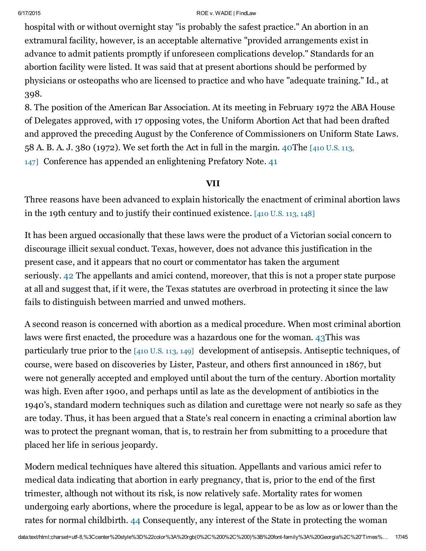hospital with or without overnight stay "is probably the safest practice." An abortion in an extramural facility, however, is an acceptable alternative "provided arrangements exist in advance to admit patients promptly if unforeseen complications develop." Standards for an abortion facility were listed. It was said that at present abortions should be performed by physicians or osteopaths who are licensed to practice and who have "adequate training." Id., at 398.

8. The position of the American Bar Association. At its meeting in February 1972 the ABA House of Delegates approved, with 17 opposing votes, the Uniform Abortion Act that had been drafted and approved the preceding August by the Conference of Commissioners on Uniform State Laws. 58 A. B. A. J. 380 (1972). We set forth the Act in full in the margin. [40T](http://caselaw.findlaw.com/us-supreme-court/410/113.html#f40)he [410 U.S. 113, 147] Conference has appended an enlightening Prefatory Note. [41](http://caselaw.findlaw.com/us-supreme-court/410/113.html#f41)

## VII

Three reasons have been advanced to explain historically the enactment of criminal abortion laws in the 19th century and to justify their continued existence. [410 U.S. 113, 148]

It has been argued occasionally that these laws were the product of a Victorian social concern to discourage illicit sexual conduct. Texas, however, does not advance this justification in the present case, and it appears that no court or commentator has taken the argument seriously. [42](http://caselaw.findlaw.com/us-supreme-court/410/113.html#f42) The appellants and amici contend, moreover, that this is not a proper state purpose at all and suggest that, if it were, the Texas statutes are overbroad in protecting it since the law fails to distinguish between married and unwed mothers.

A second reason is concerned with abortion as a medical procedure. When most criminal abortion laws were first enacted, the procedure was a hazardous one for the woman. [43T](http://caselaw.findlaw.com/us-supreme-court/410/113.html#f43)his was particularly true prior to the [410 U.S. 113, 149] development of antisepsis. Antiseptic techniques, of course, were based on discoveries by Lister, Pasteur, and others first announced in 1867, but were not generally accepted and employed until about the turn of the century. Abortion mortality was high. Even after 1900, and perhaps until as late as the development of antibiotics in the 1940's, standard modern techniques such as dilation and curettage were not nearly so safe as they are today. Thus, it has been argued that a State's real concern in enacting a criminal abortion law was to protect the pregnant woman, that is, to restrain her from submitting to a procedure that placed her life in serious jeopardy.

Modern medical techniques have altered this situation. Appellants and various amici refer to medical data indicating that abortion in early pregnancy, that is, prior to the end of the first trimester, although not without its risk, is now relatively safe. Mortality rates for women undergoing early abortions, where the procedure is legal, appear to be as low as or lower than the rates for normal childbirth. [44](http://caselaw.findlaw.com/us-supreme-court/410/113.html#f44) Consequently, any interest of the State in protecting the woman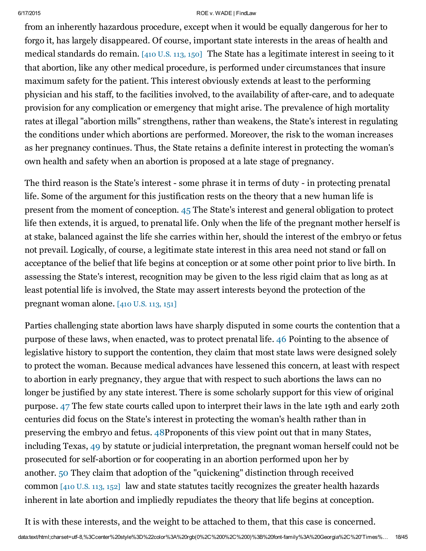from an inherently hazardous procedure, except when it would be equally dangerous for her to forgo it, has largely disappeared. Of course, important state interests in the areas of health and medical standards do remain. [410 U.S. 113, 150] The State has a legitimate interest in seeing to it that abortion, like any other medical procedure, is performed under circumstances that insure maximum safety for the patient. This interest obviously extends at least to the performing physician and his staff, to the facilities involved, to the availability of after-care, and to adequate provision for any complication or emergency that might arise. The prevalence of high mortality rates at illegal "abortion mills" strengthens, rather than weakens, the State's interest in regulating the conditions under which abortions are performed. Moreover, the risk to the woman increases as her pregnancy continues. Thus, the State retains a definite interest in protecting the woman's own health and safety when an abortion is proposed at a late stage of pregnancy.

The third reason is the State's interest - some phrase it in terms of duty - in protecting prenatal life. Some of the argument for this justification rests on the theory that a new human life is present from the moment of conception. [45](http://caselaw.findlaw.com/us-supreme-court/410/113.html#f45) The State's interest and general obligation to protect life then extends, it is argued, to prenatal life. Only when the life of the pregnant mother herself is at stake, balanced against the life she carries within her, should the interest of the embryo or fetus not prevail. Logically, of course, a legitimate state interest in this area need not stand or fall on acceptance of the belief that life begins at conception or at some other point prior to live birth. In assessing the State's interest, recognition may be given to the less rigid claim that as long as at least potential life is involved, the State may assert interests beyond the protection of the pregnant woman alone. [410 U.S. 113, 151]

Parties challenging state abortion laws have sharply disputed in some courts the contention that a purpose of these laws, when enacted, was to protect prenatal life. [46](http://caselaw.findlaw.com/us-supreme-court/410/113.html#f46) Pointing to the absence of legislative history to support the contention, they claim that most state laws were designed solely to protect the woman. Because medical advances have lessened this concern, at least with respect to abortion in early pregnancy, they argue that with respect to such abortions the laws can no longer be justified by any state interest. There is some scholarly support for this view of original purpose. [47](http://caselaw.findlaw.com/us-supreme-court/410/113.html#f47) The few state courts called upon to interpret their laws in the late 19th and early 20th centuries did focus on the State's interest in protecting the woman's health rather than in preserving the embryo and fetus. [48](http://caselaw.findlaw.com/us-supreme-court/410/113.html#f48)Proponents of this view point out that in many States, including Texas, [49](http://caselaw.findlaw.com/us-supreme-court/410/113.html#f49) by statute or judicial interpretation, the pregnant woman herself could not be prosecuted for self-abortion or for cooperating in an abortion performed upon her by another. [50](http://caselaw.findlaw.com/us-supreme-court/410/113.html#f50) They claim that adoption of the "quickening" distinction through received common [410 U.S. 113, 152] law and state statutes tacitly recognizes the greater health hazards inherent in late abortion and impliedly repudiates the theory that life begins at conception.

It is with these interests, and the weight to be attached to them, that this case is concerned.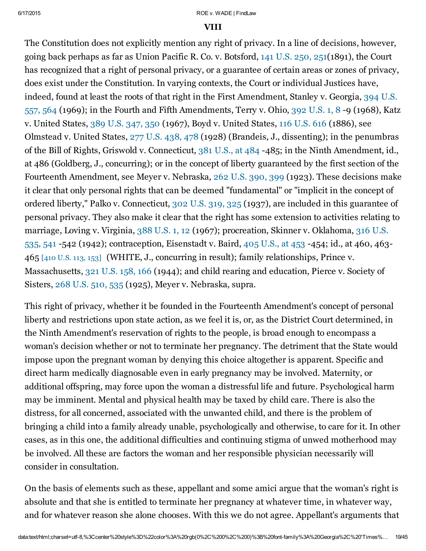## VIII

The Constitution does not explicitly mention any right of privacy. In a line of decisions, however, going back perhaps as far as Union Pacific R. Co. v. Botsford, 141 U.S. [250,](http://caselaw.findlaw.com/us-supreme-court/141/250.html#251) 251(1891), the Court has recognized that a right of personal privacy, or a guarantee of certain areas or zones of privacy, does exist under the Constitution. In varying contexts, the Court or individual Justices have, indeed, found at least the roots of that right in the First [Amendment,](http://caselaw.findlaw.com/us-supreme-court/394/557.html#564) Stanley v. Georgia, 394 U.S. 557, 564 (1969); in the Fourth and Fifth Amendments, Terry v. Ohio, 392 [U.S.](http://caselaw.findlaw.com/us-supreme-court/392/1.html#8) 1, 8 -9 (1968), Katz v. United States, 389 U.S. [347,](http://caselaw.findlaw.com/us-supreme-court/389/347.html#350) 350 (1967), Boyd v. United States, 116 [U.S.](http://caselaw.findlaw.com/us-supreme-court/116/616.html) 616 (1886), see Olmstead v. United States, 277 U.S. [438,](http://caselaw.findlaw.com/us-supreme-court/277/438.html#478) 478 (1928) (Brandeis, J., dissenting); in the penumbras of the Bill of Rights, Griswold v. Connecticut, 381 [U.S.,](http://caselaw.findlaw.com/us-supreme-court/381/479.html#484) at 484 -485; in the Ninth Amendment, id., at 486 (Goldberg, J., concurring); or in the concept of liberty guaranteed by the first section of the Fourteenth Amendment, see Meyer v. Nebraska, 262 U.S. [390,](http://caselaw.findlaw.com/us-supreme-court/262/390.html#399) 399 (1923). These decisions make it clear that only personal rights that can be deemed "fundamental" or "implicit in the concept of ordered liberty," Palko v. Connecticut, 302 [U.S.](http://caselaw.findlaw.com/us-supreme-court/302/319.html#325) 319, 325 (1937), are included in this guarantee of personal privacy. They also make it clear that the right has some extension to activities relating to marriage, Loving v. Virginia, 388 [U.S.](http://caselaw.findlaw.com/us-supreme-court/388/1.html#12) 1, 12 (1967); procreation, Skinner v. Oklahoma, 316 U.S. 535, 541 -542 (1942); [contraception,](http://caselaw.findlaw.com/us-supreme-court/316/535.html#541) Eisenstadt v. Baird, 405 [U.S.,](http://caselaw.findlaw.com/us-supreme-court/405/438.html#453) at 453 -454; id., at 460, 463-465 [410 U.S. 113, 153] (WHITE, J., concurring in result); family relationships, Prince v. Massachusetts, 321 [U.S.](http://caselaw.findlaw.com/us-supreme-court/321/158.html#166) 158, 166 (1944); and child rearing and education, Pierce v. Society of Sisters, 268 U.S. [510,](http://caselaw.findlaw.com/us-supreme-court/268/510.html#535) 535 (1925), Meyer v. Nebraska, supra.

This right of privacy, whether it be founded in the Fourteenth Amendment's concept of personal liberty and restrictions upon state action, as we feel it is, or, as the District Court determined, in the Ninth Amendment's reservation of rights to the people, is broad enough to encompass a woman's decision whether or not to terminate her pregnancy. The detriment that the State would impose upon the pregnant woman by denying this choice altogether is apparent. Specific and direct harm medically diagnosable even in early pregnancy may be involved. Maternity, or additional offspring, may force upon the woman a distressful life and future. Psychological harm may be imminent. Mental and physical health may be taxed by child care. There is also the distress, for all concerned, associated with the unwanted child, and there is the problem of bringing a child into a family already unable, psychologically and otherwise, to care for it. In other cases, as in this one, the additional difficulties and continuing stigma of unwed motherhood may be involved. All these are factors the woman and her responsible physician necessarily will consider in consultation.

On the basis of elements such as these, appellant and some amici argue that the woman's right is absolute and that she is entitled to terminate her pregnancy at whatever time, in whatever way, and for whatever reason she alone chooses. With this we do not agree. Appellant's arguments that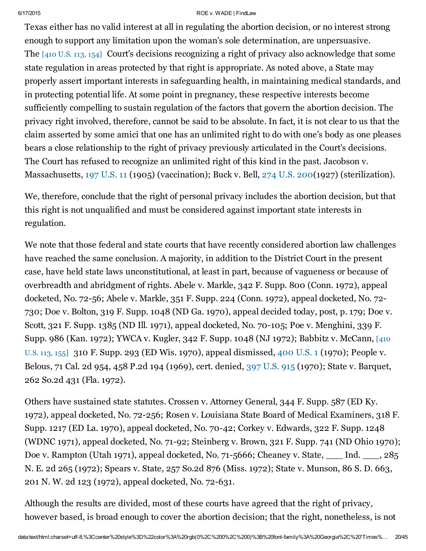Texas either has no valid interest at all in regulating the abortion decision, or no interest strong enough to support any limitation upon the woman's sole determination, are unpersuasive. The [410 U.S. 113, 154] Court's decisions recognizing a right of privacy also acknowledge that some state regulation in areas protected by that right is appropriate. As noted above, a State may properly assert important interests in safeguarding health, in maintaining medical standards, and in protecting potential life. At some point in pregnancy, these respective interests become sufficiently compelling to sustain regulation of the factors that govern the abortion decision. The privacy right involved, therefore, cannot be said to be absolute. In fact, it is not clear to us that the claim asserted by some amici that one has an unlimited right to do with one's body as one pleases bears a close relationship to the right of privacy previously articulated in the Court's decisions. The Court has refused to recognize an unlimited right of this kind in the past. Jacobson v. Massachusetts, 197 [U.S.](http://caselaw.findlaw.com/us-supreme-court/197/11.html) 11 (1905) (vaccination); Buck v. Bell, 274 [U.S.](http://caselaw.findlaw.com/us-supreme-court/274/200.html) 200(1927) (sterilization).

We, therefore, conclude that the right of personal privacy includes the abortion decision, but that this right is not unqualified and must be considered against important state interests in regulation.

We note that those federal and state courts that have recently considered abortion law challenges have reached the same conclusion. A majority, in addition to the District Court in the present case, have held state laws unconstitutional, at least in part, because of vagueness or because of overbreadth and abridgment of rights. Abele v. Markle, 342 F. Supp. 800 (Conn. 1972), appeal docketed, No. 72-56; Abele v. Markle, 351 F. Supp. 224 (Conn. 1972), appeal docketed, No. 72-730; Doe v. Bolton, 319 F. Supp. 1048 (ND Ga. 1970), appeal decided today, post, p. 179; Doe v. Scott, 321 F. Supp. 1385 (ND Ill. 1971), appeal docketed, No. 70-105; Poe v. Menghini, 339 F. Supp. 986 (Kan. 1972); YWCA v. Kugler, 342 F. Supp. 1048 (NJ 1972); Babbitz v. McCann, [410 U.S. 113, 155] 310 F. Supp. 293 (ED Wis. 1970), appeal dismissed, 400 [U.S.](http://caselaw.findlaw.com/us-supreme-court/400/1.html) 1 (1970); People v. Belous, 71 Cal. 2d 954, 458 P.2d 194 (1969), cert. denied, 397 [U.S.](http://caselaw.findlaw.com/us-supreme-court/397/915.html) 915 (1970); State v. Barquet, 262 So.2d 431 (Fla. 1972).

Others have sustained state statutes. Crossen v. Attorney General, 344 F. Supp. 587 (ED Ky. 1972), appeal docketed, No. 72-256; Rosen v. Louisiana State Board of Medical Examiners, 318 F. Supp. 1217 (ED La. 1970), appeal docketed, No. 7042; Corkey v. Edwards, 322 F. Supp. 1248 (WDNC 1971), appeal docketed, No. 71-92; Steinberg v. Brown, 321 F. Supp. 741 (ND Ohio 1970); Doe v. Rampton (Utah 1971), appeal docketed, No. 71-5666; Cheaney v. State, \_\_\_ Ind. \_\_\_, 285 N. E. 2d 265 (1972); Spears v. State, 257 So.2d 876 (Miss. 1972); State v. Munson, 86 S. D. 663, 201 N. W. 2d 123 (1972), appeal docketed, No. 72-631.

Although the results are divided, most of these courts have agreed that the right of privacy, however based, is broad enough to cover the abortion decision; that the right, nonetheless, is not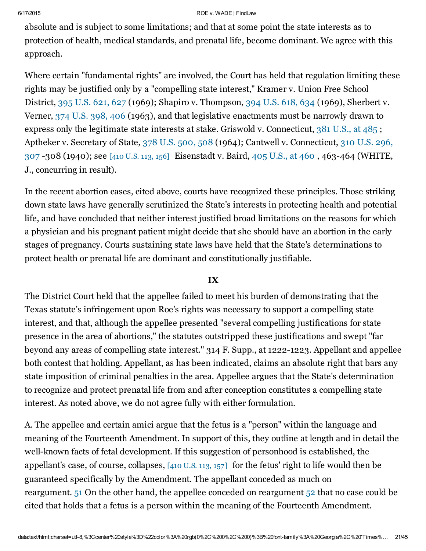absolute and is subject to some limitations; and that at some point the state interests as to protection of health, medical standards, and prenatal life, become dominant. We agree with this approach.

Where certain "fundamental rights" are involved, the Court has held that regulation limiting these rights may be justified only by a "compelling state interest," Kramer v. Union Free School District, 395 [U.S.](http://caselaw.findlaw.com/us-supreme-court/395/621.html#627) 621, 627 (1969); Shapiro v. Thompson, 394 [U.S.](http://caselaw.findlaw.com/us-supreme-court/394/618.html#634) 618, 634 (1969), Sherbert v. Verner, 374 U.S. [398,](http://caselaw.findlaw.com/us-supreme-court/374/398.html#406) 406 (1963), and that legislative enactments must be narrowly drawn to express only the legitimate state interests at stake. Griswold v. Connecticut, 381 [U.S.,](http://caselaw.findlaw.com/us-supreme-court/381/479.html#485) at 485 ; Aptheker v. Secretary of State, 378 U.S. [500,](http://caselaw.findlaw.com/us-supreme-court/378/500.html#508) 508 (1964); Cantwell v. [Connecticut,](http://caselaw.findlaw.com/us-supreme-court/310/296.html#307) 310 U.S. 296, 307 -308 (1940); see [410 U.S. 113, 156] Eisenstadt v. Baird, 405 [U.S.,](http://caselaw.findlaw.com/us-supreme-court/405/438.html#460) at 460, 463-464 (WHITE, J., concurring in result).

In the recent abortion cases, cited above, courts have recognized these principles. Those striking down state laws have generally scrutinized the State's interests in protecting health and potential life, and have concluded that neither interest justified broad limitations on the reasons for which a physician and his pregnant patient might decide that she should have an abortion in the early stages of pregnancy. Courts sustaining state laws have held that the State's determinations to protect health or prenatal life are dominant and constitutionally justifiable.

## IX

The District Court held that the appellee failed to meet his burden of demonstrating that the Texas statute's infringement upon Roe's rights was necessary to support a compelling state interest, and that, although the appellee presented "several compelling justifications for state presence in the area of abortions," the statutes outstripped these justifications and swept "far beyond any areas of compelling state interest." 314 F. Supp., at 1222-1223. Appellant and appellee both contest that holding. Appellant, as has been indicated, claims an absolute right that bars any state imposition of criminal penalties in the area. Appellee argues that the State's determination to recognize and protect prenatal life from and after conception constitutes a compelling state interest. As noted above, we do not agree fully with either formulation.

A. The appellee and certain amici argue that the fetus is a "person" within the language and meaning of the Fourteenth Amendment. In support of this, they outline at length and in detail the well-known facts of fetal development. If this suggestion of personhood is established, the appellant's case, of course, collapses, [410 U.S. 113, 157] for the fetus' right to life would then be guaranteed specifically by the Amendment. The appellant conceded as much on reargument. [51](http://caselaw.findlaw.com/us-supreme-court/410/113.html#f51) On the other hand, the appellee conceded on reargument [52](http://caselaw.findlaw.com/us-supreme-court/410/113.html#f52) that no case could be cited that holds that a fetus is a person within the meaning of the Fourteenth Amendment.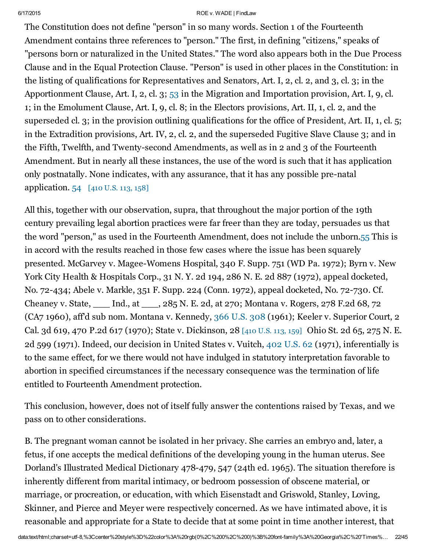The Constitution does not define "person" in so many words. Section 1 of the Fourteenth Amendment contains three references to "person." The first, in defining "citizens," speaks of "persons born or naturalized in the United States." The word also appears both in the Due Process Clause and in the Equal Protection Clause. "Person" is used in other places in the Constitution: in the listing of qualifications for Representatives and Senators, Art. I, 2, cl. 2, and 3, cl. 3; in the Apportionment Clause, Art. I, 2, cl. 3; [53](http://caselaw.findlaw.com/us-supreme-court/410/113.html#f53) in the Migration and Importation provision, Art. I, 9, cl. 1; in the Emolument Clause, Art. I, 9, cl. 8; in the Electors provisions, Art. II, 1, cl. 2, and the superseded cl. 3; in the provision outlining qualifications for the office of President, Art. II, 1, cl. 5; in the Extradition provisions, Art. IV, 2, cl. 2, and the superseded Fugitive Slave Clause 3; and in the Fifth, Twelfth, and Twenty-second Amendments, as well as in 2 and 3 of the Fourteenth Amendment. But in nearly all these instances, the use of the word is such that it has application only postnatally. None indicates, with any assurance, that it has any possible prenatal application. [54](http://caselaw.findlaw.com/us-supreme-court/410/113.html#f54) [410 U.S. 113, 158]

All this, together with our observation, supra, that throughout the major portion of the 19th century prevailing legal abortion practices were far freer than they are today, persuades us that the word "person," as used in the Fourteenth Amendment, does not include the unborn[.55](http://caselaw.findlaw.com/us-supreme-court/410/113.html#f55) This is in accord with the results reached in those few cases where the issue has been squarely presented. McGarvey v. Magee-Womens Hospital, 340 F. Supp. 751 (WD Pa. 1972); Byrn v. New York City Health & Hospitals Corp., 31 N.Y. 2d 194, 286 N.E. 2d 887 (1972), appeal docketed, No. 72-434; Abele v. Markle, 351 F. Supp. 224 (Conn. 1972), appeal docketed, No. 72-730. Cf. Cheaney v. State, Ind., at , 285 N. E. 2d, at 270; Montana v. Rogers, 278 F.2d 68, 72 (CA7 1960), aff'd sub nom. Montana v. Kennedy, 366 [U.S.](http://caselaw.findlaw.com/us-supreme-court/366/308.html) 308 (1961); Keeler v. Superior Court, 2 Cal. 3d 619, 470 P.2d 617 (1970); State v. Dickinson, 28 [410 U.S. 113, 159] Ohio St. 2d 65, 275 N. E. 2d 599 (1971). Indeed, our decision in United States v. Vuitch, 402 [U.S.](http://caselaw.findlaw.com/us-supreme-court/402/62.html) 62 (1971), inferentially is to the same effect, for we there would not have indulged in statutory interpretation favorable to abortion in specified circumstances if the necessary consequence was the termination of life entitled to Fourteenth Amendment protection.

This conclusion, however, does not of itself fully answer the contentions raised by Texas, and we pass on to other considerations.

B. The pregnant woman cannot be isolated in her privacy. She carries an embryo and, later, a fetus, if one accepts the medical definitions of the developing young in the human uterus. See Dorland's Illustrated Medical Dictionary 478-479, 547 (24th ed. 1965). The situation therefore is inherently different from marital intimacy, or bedroom possession of obscene material, or marriage, or procreation, or education, with which Eisenstadt and Griswold, Stanley, Loving, Skinner, and Pierce and Meyer were respectively concerned. As we have intimated above, it is reasonable and appropriate for a State to decide that at some point in time another interest, that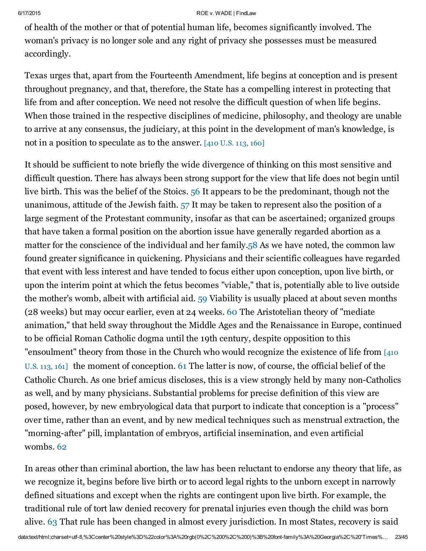of health of the mother or that of potential human life, becomes significantly involved. The woman's privacy is no longer sole and any right of privacy she possesses must be measured accordingly.

Texas urges that, apart from the Fourteenth Amendment, life begins at conception and is present throughout pregnancy, and that, therefore, the State has a compelling interest in protecting that life from and after conception. We need not resolve the difficult question of when life begins. When those trained in the respective disciplines of medicine, philosophy, and theology are unable to arrive at any consensus, the judiciary, at this point in the development of man's knowledge, is not in a position to speculate as to the answer. [410 U.S. 113, 160]

It should be sufficient to note briefly the wide divergence of thinking on this most sensitive and difficult question. There has always been strong support for the view that life does not begin until live birth. This was the belief of the Stoics. [56](http://caselaw.findlaw.com/us-supreme-court/410/113.html#f56) It appears to be the predominant, though not the unanimous, attitude of the Jewish faith. [57](http://caselaw.findlaw.com/us-supreme-court/410/113.html#f57) It may be taken to represent also the position of a large segment of the Protestant community, insofar as that can be ascertained; organized groups that have taken a formal position on the abortion issue have generally regarded abortion as a matter for the conscience of the individual and her family.[58](http://caselaw.findlaw.com/us-supreme-court/410/113.html#f58) As we have noted, the common law found greater significance in quickening. Physicians and their scientific colleagues have regarded that event with less interest and have tended to focus either upon conception, upon live birth, or upon the interim point at which the fetus becomes "viable," that is, potentially able to live outside the mother's womb, albeit with artificial aid. [59](http://caselaw.findlaw.com/us-supreme-court/410/113.html#f59) Viability is usually placed at about seven months (28 weeks) but may occur earlier, even at 24 weeks. [60](http://caselaw.findlaw.com/us-supreme-court/410/113.html#f60) The Aristotelian theory of "mediate animation," that held sway throughout the Middle Ages and the Renaissance in Europe, continued to be official Roman Catholic dogma until the 19th century, despite opposition to this "ensoulment" theory from those in the Church who would recognize the existence of life from [410 U.S. 113, 161] the moment of conception. [61](http://caselaw.findlaw.com/us-supreme-court/410/113.html#f61) The latter is now, of course, the official belief of the Catholic Church. As one brief amicus discloses, this is a view strongly held by many non-Catholics as well, and by many physicians. Substantial problems for precise definition of this view are posed, however, by new embryological data that purport to indicate that conception is a "process" over time, rather than an event, and by new medical techniques such as menstrual extraction, the "morning-after" pill, implantation of embryos, artificial insemination, and even artificial wombs. [62](http://caselaw.findlaw.com/us-supreme-court/410/113.html#f62)

In areas other than criminal abortion, the law has been reluctant to endorse any theory that life, as we recognize it, begins before live birth or to accord legal rights to the unborn except in narrowly defined situations and except when the rights are contingent upon live birth. For example, the traditional rule of tort law denied recovery for prenatal injuries even though the child was born alive. [63](http://caselaw.findlaw.com/us-supreme-court/410/113.html#f63) That rule has been changed in almost every jurisdiction. In most States, recovery is said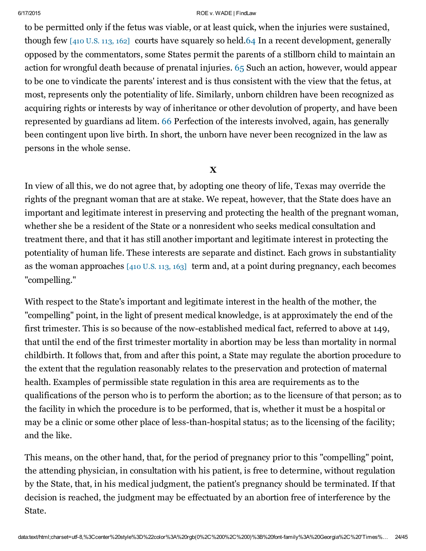to be permitted only if the fetus was viable, or at least quick, when the injuries were sustained, though few [410 U.S. 113, 162] courts have squarely so held[.64](http://caselaw.findlaw.com/us-supreme-court/410/113.html#f64) In a recent development, generally opposed by the commentators, some States permit the parents of a stillborn child to maintain an action for wrongful death because of prenatal injuries. [65](http://caselaw.findlaw.com/us-supreme-court/410/113.html#f65) Such an action, however, would appear to be one to vindicate the parents' interest and is thus consistent with the view that the fetus, at most, represents only the potentiality of life. Similarly, unborn children have been recognized as acquiring rights or interests by way of inheritance or other devolution of property, and have been represented by guardians ad litem. [66](http://caselaw.findlaw.com/us-supreme-court/410/113.html#f66) Perfection of the interests involved, again, has generally been contingent upon live birth. In short, the unborn have never been recognized in the law as persons in the whole sense.

## X

In view of all this, we do not agree that, by adopting one theory of life, Texas may override the rights of the pregnant woman that are at stake. We repeat, however, that the State does have an important and legitimate interest in preserving and protecting the health of the pregnant woman, whether she be a resident of the State or a nonresident who seeks medical consultation and treatment there, and that it has still another important and legitimate interest in protecting the potentiality of human life. These interests are separate and distinct. Each grows in substantiality as the woman approaches [410 U.S. 113, 163] term and, at a point during pregnancy, each becomes "compelling."

With respect to the State's important and legitimate interest in the health of the mother, the "compelling" point, in the light of present medical knowledge, is at approximately the end of the first trimester. This is so because of the now-established medical fact, referred to above at 149, that until the end of the first trimester mortality in abortion may be less than mortality in normal childbirth. It follows that, from and after this point, a State may regulate the abortion procedure to the extent that the regulation reasonably relates to the preservation and protection of maternal health. Examples of permissible state regulation in this area are requirements as to the qualifications of the person who is to perform the abortion; as to the licensure of that person; as to the facility in which the procedure is to be performed, that is, whether it must be a hospital or may be a clinic or some other place of less-than-hospital status; as to the licensing of the facility; and the like.

This means, on the other hand, that, for the period of pregnancy prior to this "compelling" point, the attending physician, in consultation with his patient, is free to determine, without regulation by the State, that, in his medical judgment, the patient's pregnancy should be terminated. If that decision is reached, the judgment may be effectuated by an abortion free of interference by the State.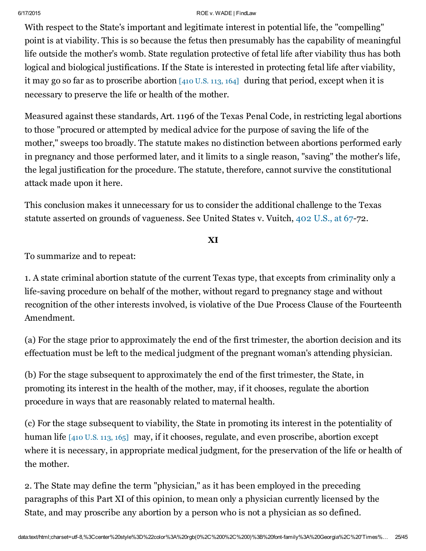With respect to the State's important and legitimate interest in potential life, the "compelling" point is at viability. This is so because the fetus then presumably has the capability of meaningful life outside the mother's womb. State regulation protective of fetal life after viability thus has both logical and biological justifications. If the State is interested in protecting fetal life after viability, it may go so far as to proscribe abortion [410 U.S. 113, 164] during that period, except when it is necessary to preserve the life or health of the mother.

Measured against these standards, Art. 1196 of the Texas Penal Code, in restricting legal abortions to those "procured or attempted by medical advice for the purpose of saving the life of the mother," sweeps too broadly. The statute makes no distinction between abortions performed early in pregnancy and those performed later, and it limits to a single reason, "saving" the mother's life, the legal justification for the procedure. The statute, therefore, cannot survive the constitutional attack made upon it here.

This conclusion makes it unnecessary for us to consider the additional challenge to the Texas statute asserted on grounds of vagueness. See United States v. Vuitch, 402 [U.S.,](http://caselaw.findlaw.com/us-supreme-court/402/62.html#67) at 67-72.

## XI

To summarize and to repeat:

1. A state criminal abortion statute of the current Texas type, that excepts from criminality only a life-saving procedure on behalf of the mother, without regard to pregnancy stage and without recognition of the other interests involved, is violative of the Due Process Clause of the Fourteenth Amendment.

(a) For the stage prior to approximately the end of the first trimester, the abortion decision and its effectuation must be left to the medical judgment of the pregnant woman's attending physician.

(b) For the stage subsequent to approximately the end of the first trimester, the State, in promoting its interest in the health of the mother, may, if it chooses, regulate the abortion procedure in ways that are reasonably related to maternal health.

(c) For the stage subsequent to viability, the State in promoting its interest in the potentiality of human life [410 U.S. 113, 165] may, if it chooses, regulate, and even proscribe, abortion except where it is necessary, in appropriate medical judgment, for the preservation of the life or health of the mother.

2. The State may define the term "physician," as it has been employed in the preceding paragraphs of this Part XI of this opinion, to mean only a physician currently licensed by the State, and may proscribe any abortion by a person who is not a physician as so defined.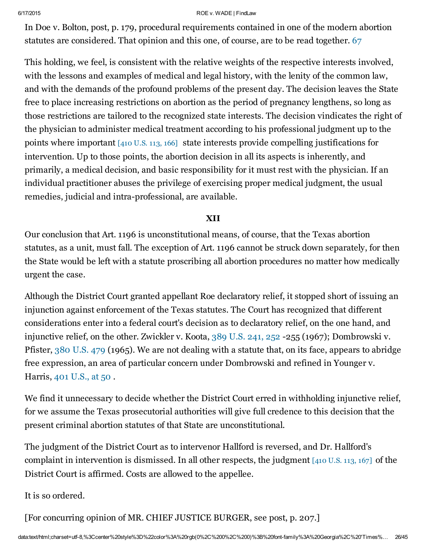In Doe v. Bolton, post, p. 179, procedural requirements contained in one of the modern abortion statutes are considered. That opinion and this one, of course, are to be read together. [67](http://caselaw.findlaw.com/us-supreme-court/410/113.html#f67)

This holding, we feel, is consistent with the relative weights of the respective interests involved, with the lessons and examples of medical and legal history, with the lenity of the common law, and with the demands of the profound problems of the present day. The decision leaves the State free to place increasing restrictions on abortion as the period of pregnancy lengthens, so long as those restrictions are tailored to the recognized state interests. The decision vindicates the right of the physician to administer medical treatment according to his professional judgment up to the points where important [410 U.S. 113, 166] state interests provide compelling justifications for intervention. Up to those points, the abortion decision in all its aspects is inherently, and primarily, a medical decision, and basic responsibility for it must rest with the physician. If an individual practitioner abuses the privilege of exercising proper medical judgment, the usual remedies, judicial and intra-professional, are available.

## XII

Our conclusion that Art. 1196 is unconstitutional means, of course, that the Texas abortion statutes, as a unit, must fall. The exception of Art. 1196 cannot be struck down separately, for then the State would be left with a statute proscribing all abortion procedures no matter how medically urgent the case.

Although the District Court granted appellant Roe declaratory relief, it stopped short of issuing an injunction against enforcement of the Texas statutes. The Court has recognized that different considerations enter into a federal court's decision as to declaratory relief, on the one hand, and injunctive relief, on the other. Zwickler v. Koota, 389 U.S. [241,](http://caselaw.findlaw.com/us-supreme-court/389/241.html#252) 252 -255 (1967); Dombrowski v. Pfister, 380 [U.S.](http://caselaw.findlaw.com/us-supreme-court/380/479.html) 479 (1965). We are not dealing with a statute that, on its face, appears to abridge free expression, an area of particular concern under Dombrowski and refined in Younger v. Harris, 401 [U.S.,](http://caselaw.findlaw.com/us-supreme-court/401/37.html#50) at 50 .

We find it unnecessary to decide whether the District Court erred in withholding injunctive relief, for we assume the Texas prosecutorial authorities will give full credence to this decision that the present criminal abortion statutes of that State are unconstitutional.

The judgment of the District Court as to intervenor Hallford is reversed, and Dr. Hallford's complaint in intervention is dismissed. In all other respects, the judgment [410 U.S. 113, 167] of the District Court is affirmed. Costs are allowed to the appellee.

It is so ordered.

[For concurring opinion of MR. CHIEF JUSTICE BURGER, see post, p. 207.]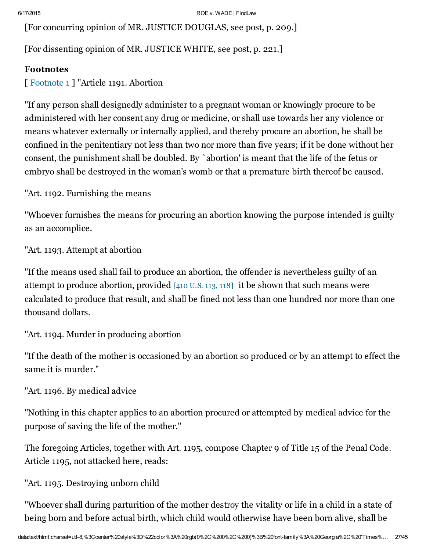[For concurring opinion of MR. JUSTICE DOUGLAS, see post, p. 209.]

[For dissenting opinion of MR. JUSTICE WHITE, see post, p. 221.]

## Footnotes

[ [Footnote](http://caselaw.findlaw.com/us-supreme-court/410/113.html#t1) 1 ] "Article 1191. Abortion

"If any person shall designedly administer to a pregnant woman or knowingly procure to be administered with her consent any drug or medicine, or shall use towards her any violence or means whatever externally or internally applied, and thereby procure an abortion, he shall be confined in the penitentiary not less than two nor more than five years; if it be done without her consent, the punishment shall be doubled. By `abortion' is meant that the life of the fetus or embryo shall be destroyed in the woman's womb or that a premature birth thereof be caused.

"Art. 1192. Furnishing the means

"Whoever furnishes the means for procuring an abortion knowing the purpose intended is guilty as an accomplice.

"Art. 1193. Attempt at abortion

"If the means used shall fail to produce an abortion, the offender is nevertheless guilty of an attempt to produce abortion, provided  $[410 \text{ U.S. } 113, 118]$  it be shown that such means were calculated to produce that result, and shall be fined not less than one hundred nor more than one thousand dollars.

"Art. 1194. Murder in producing abortion

"If the death of the mother is occasioned by an abortion so produced or by an attempt to effect the same it is murder."

"Art. 1196. By medical advice

"Nothing in this chapter applies to an abortion procured or attempted by medical advice for the purpose of saving the life of the mother."

The foregoing Articles, together with Art. 1195, compose Chapter 9 of Title 15 of the Penal Code. Article 1195, not attacked here, reads:

"Art. 1195. Destroying unborn child

"Whoever shall during parturition of the mother destroy the vitality or life in a child in a state of being born and before actual birth, which child would otherwise have been born alive, shall be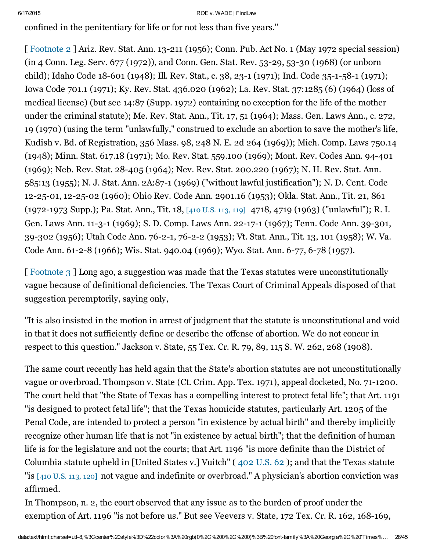confined in the penitentiary for life or for not less than five years."

[ [Footnote](http://caselaw.findlaw.com/us-supreme-court/410/113.html#t2) 2 ] Ariz. Rev. Stat. Ann. 13-211 (1956); Conn. Pub. Act No. 1 (May 1972 special session)  $(in 4 Conn. Leg. Serv. 677 (1972)), and Conn. Gen. Stat. Rev. 53-29, 53-30 (1968) (or unborn)$ child); Idaho Code 18-601 (1948); Ill. Rev. Stat., c. 38, 23-1 (1971); Ind. Code 35-1-58-1 (1971); Iowa Code 701.1 (1971); Ky. Rev. Stat. 436.020 (1962); La. Rev. Stat. 37:1285 (6) (1964) (loss of medical license) (but see 14:87 (Supp. 1972) containing no exception for the life of the mother under the criminal statute); Me. Rev. Stat. Ann., Tit. 17, 51 (1964); Mass. Gen. Laws Ann., c. 272, 19 (1970) (using the term "unlawfully," construed to exclude an abortion to save the mother's life, Kudish v. Bd. of Registration, 356 Mass. 98, 248 N. E. 2d 264 (1969)); Mich. Comp. Laws 750.14 (1948); Minn. Stat. 617.18 (1971); Mo. Rev. Stat. 559.100 (1969); Mont. Rev. Codes Ann. 94-401 (1969); Neb. Rev. Stat. 28-405 (1964); Nev. Rev. Stat. 200.220 (1967); N. H. Rev. Stat. Ann. 585:13 (1955); N. J. Stat. Ann. 2A:871 (1969) ("without lawful justification"); N. D. Cent. Code 122501, 122502 (1960); Ohio Rev. Code Ann. 2901.16 (1953); Okla. Stat. Ann., Tit. 21, 861 (1972-1973 Supp.); Pa. Stat. Ann., Tit. 18, [410 U.S. 113, 119] 4718, 4719 (1963) ("unlawful"); R. I. Gen. Laws Ann. 11-3-1 (1969); S. D. Comp. Laws Ann. 22-17-1 (1967); Tenn. Code Ann. 39-301, 39-302 (1956); Utah Code Ann. 76-2-1, 76-2-2 (1953); Vt. Stat. Ann., Tit. 13, 101 (1958); W. Va. Code Ann. 61-2-8 (1966); Wis. Stat. 940.04 (1969); Wyo. Stat. Ann. 6-77, 6-78 (1957).

[ [Footnote](http://caselaw.findlaw.com/us-supreme-court/410/113.html#t3) 3 ] Long ago, a suggestion was made that the Texas statutes were unconstitutionally vague because of definitional deficiencies. The Texas Court of Criminal Appeals disposed of that suggestion peremptorily, saying only,

"It is also insisted in the motion in arrest of judgment that the statute is unconstitutional and void in that it does not sufficiently define or describe the offense of abortion. We do not concur in respect to this question." Jackson v. State, 55 Tex. Cr. R. 79, 89, 115 S. W. 262, 268 (1908).

The same court recently has held again that the State's abortion statutes are not unconstitutionally vague or overbroad. Thompson v. State (Ct. Crim. App. Tex. 1971), appeal docketed, No. 71-1200. The court held that "the State of Texas has a compelling interest to protect fetal life"; that Art. 1191 "is designed to protect fetal life"; that the Texas homicide statutes, particularly Art. 1205 of the Penal Code, are intended to protect a person "in existence by actual birth" and thereby implicitly recognize other human life that is not "in existence by actual birth"; that the definition of human life is for the legislature and not the courts; that Art. 1196 "is more definite than the District of Columbia statute upheld in [United States v.] Vuitch" ( 402 [U.S.](http://caselaw.findlaw.com/us-supreme-court/402/62.html) 62 ); and that the Texas statute "is [410 U.S. 113, 120] not vague and indefinite or overbroad." A physician's abortion conviction was affirmed.

In Thompson, n. 2, the court observed that any issue as to the burden of proof under the exemption of Art. 1196 "is not before us." But see Veevers v. State, 172 Tex. Cr. R. 162, 168-169,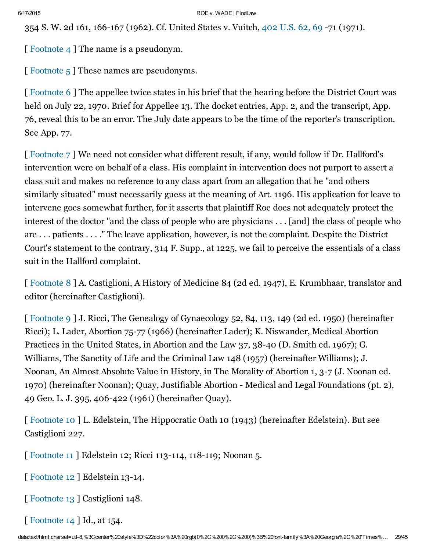354 S. W. 2d 161, 166-167 (1962). Cf. United States v. Vuitch, 402 [U.S.](http://caselaw.findlaw.com/us-supreme-court/402/62.html#69) 62, 69 -71 (1971).

[ [Footnote](http://caselaw.findlaw.com/us-supreme-court/410/113.html#t4) 4 ] The name is a pseudonym.

[ [Footnote](http://caselaw.findlaw.com/us-supreme-court/410/113.html#t5) 5 ] These names are pseudonyms.

[ [Footnote](http://caselaw.findlaw.com/us-supreme-court/410/113.html#t6) 6 ] The appellee twice states in his brief that the hearing before the District Court was held on July 22, 1970. Brief for Appellee 13. The docket entries, App. 2, and the transcript, App. 76, reveal this to be an error. The July date appears to be the time of the reporter's transcription. See App. 77.

[ [Footnote](http://caselaw.findlaw.com/us-supreme-court/410/113.html#t7) 7 ] We need not consider what different result, if any, would follow if Dr. Hallford's intervention were on behalf of a class. His complaint in intervention does not purport to assert a class suit and makes no reference to any class apart from an allegation that he "and others similarly situated" must necessarily guess at the meaning of Art. 1196. His application for leave to intervene goes somewhat further, for it asserts that plaintiff Roe does not adequately protect the interest of the doctor "and the class of people who are physicians . . . [and] the class of people who are . . . patients . . . ." The leave application, however, is not the complaint. Despite the District Court's statement to the contrary, 314 F. Supp., at 1225, we fail to perceive the essentials of a class suit in the Hallford complaint.

[ [Footnote](http://caselaw.findlaw.com/us-supreme-court/410/113.html#t8) 8 ] A. Castiglioni, A History of Medicine 84 (2d ed. 1947), E. Krumbhaar, translator and editor (hereinafter Castiglioni).

[ [Footnote](http://caselaw.findlaw.com/us-supreme-court/410/113.html#t9) 9 ] J. Ricci, The Genealogy of Gynaecology 52, 84, 113, 149 (2d ed. 1950) (hereinafter Ricci); L. Lader, Abortion 75-77 (1966) (hereinafter Lader); K. Niswander, Medical Abortion Practices in the United States, in Abortion and the Law 37, 38-40 (D. Smith ed. 1967); G. Williams, The Sanctity of Life and the Criminal Law 148 (1957) (hereinafter Williams); J. Noonan, An Almost Absolute Value in History, in The Morality of Abortion 1, 3-7 (J. Noonan ed. 1970) (hereinafter Noonan); Quay, Justifiable Abortion - Medical and Legal Foundations (pt. 2), 49 Geo. L. J. 395, 406422 (1961) (hereinafter Quay).

[ [Footnote](http://caselaw.findlaw.com/us-supreme-court/410/113.html#t10) 10 ] L. Edelstein, The Hippocratic Oath 10 (1943) (hereinafter Edelstein). But see Castiglioni 227.

[ [Footnote](http://caselaw.findlaw.com/us-supreme-court/410/113.html#t11) 11 ] Edelstein 12; Ricci 113-114, 118-119; Noonan 5.

 $[$  [Footnote](http://caselaw.findlaw.com/us-supreme-court/410/113.html#t12) 12  $]$  Edelstein 13-14.

- [ [Footnote](http://caselaw.findlaw.com/us-supreme-court/410/113.html#t13) 13 ] Castiglioni 148.
- [ [Footnote](http://caselaw.findlaw.com/us-supreme-court/410/113.html#t14) 14 ] Id., at 154.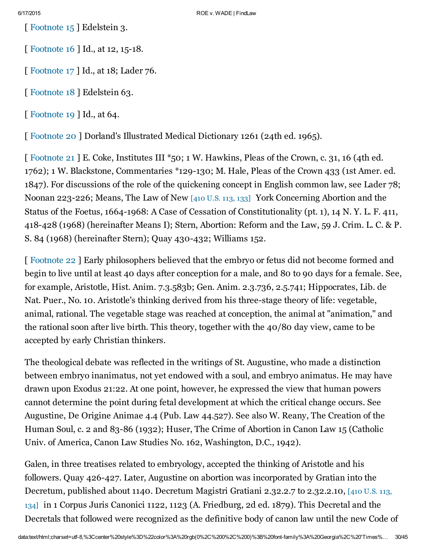[ [Footnote](http://caselaw.findlaw.com/us-supreme-court/410/113.html#t15) 15 ] Edelstein 3.

[ [Footnote](http://caselaw.findlaw.com/us-supreme-court/410/113.html#t16)  $16$  ] Id., at  $12, 15-18$ .

[ [Footnote](http://caselaw.findlaw.com/us-supreme-court/410/113.html#t17) 17 ] Id., at 18; Lader 76.

[ [Footnote](http://caselaw.findlaw.com/us-supreme-court/410/113.html#t18) 18 ] Edelstein 63.

[ [Footnote](http://caselaw.findlaw.com/us-supreme-court/410/113.html#t19) 19 ] Id., at 64.

[ [Footnote](http://caselaw.findlaw.com/us-supreme-court/410/113.html#t20) 20 ] Dorland's Illustrated Medical Dictionary 1261 (24th ed. 1965).

[ [Footnote](http://caselaw.findlaw.com/us-supreme-court/410/113.html#t21) 21 ] E. Coke, Institutes III \*50; 1 W. Hawkins, Pleas of the Crown, c. 31, 16 (4th ed. 1762); 1 W. Blackstone, Commentaries \*129-130; M. Hale, Pleas of the Crown 433 (1st Amer. ed. 1847). For discussions of the role of the quickening concept in English common law, see Lader 78; Noonan 223-226; Means, The Law of New [410 U.S. 113, 133] York Concerning Abortion and the Status of the Foetus, 1664-1968: A Case of Cessation of Constitutionality (pt. 1), 14 N.Y. L. F. 411, 418428 (1968) (hereinafter Means I); Stern, Abortion: Reform and the Law, 59 J. Crim. L. C. & P. S. 84 (1968) (hereinafter Stern); Quay 430-432; Williams 152.

[ [Footnote](http://caselaw.findlaw.com/us-supreme-court/410/113.html#t22) 22 ] Early philosophers believed that the embryo or fetus did not become formed and begin to live until at least 40 days after conception for a male, and 80 to 90 days for a female. See, for example, Aristotle, Hist. Anim. 7.3.583b; Gen. Anim. 2.3.736, 2.5.741; Hippocrates, Lib. de Nat. Puer., No. 10. Aristotle's thinking derived from his three-stage theory of life: vegetable, animal, rational. The vegetable stage was reached at conception, the animal at "animation," and the rational soon after live birth. This theory, together with the 40/80 day view, came to be accepted by early Christian thinkers.

The theological debate was reflected in the writings of St. Augustine, who made a distinction between embryo inanimatus, not yet endowed with a soul, and embryo animatus. He may have drawn upon Exodus 21:22. At one point, however, he expressed the view that human powers cannot determine the point during fetal development at which the critical change occurs. See Augustine, De Origine Animae 4.4 (Pub. Law 44.527). See also W. Reany, The Creation of the Human Soul, c. 2 and 83-86 (1932); Huser, The Crime of Abortion in Canon Law 15 (Catholic Univ. of America, Canon Law Studies No. 162, Washington, D.C., 1942).

Galen, in three treatises related to embryology, accepted the thinking of Aristotle and his followers. Quay 426-427. Later, Augustine on abortion was incorporated by Gratian into the Decretum, published about 1140. Decretum Magistri Gratiani 2.32.2.7 to 2.32.2.10, [410 U.S. 113, 134] in 1 Corpus Juris Canonici 1122, 1123 (A. Friedburg, 2d ed. 1879). This Decretal and the Decretals that followed were recognized as the definitive body of canon law until the new Code of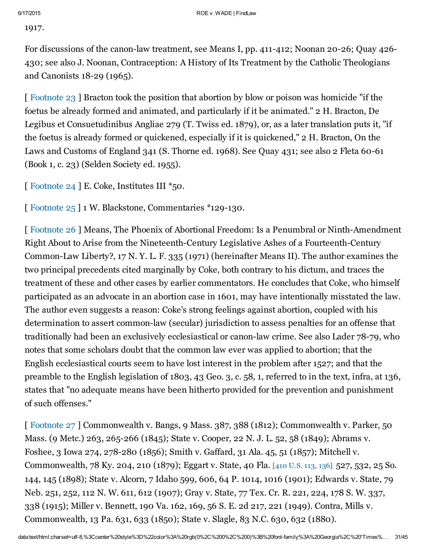## 1917.

For discussions of the canon-law treatment, see Means I, pp. 411-412; Noonan 20-26; Quay 426-430; see also J. Noonan, Contraception: A History of Its Treatment by the Catholic Theologians and Canonists 18-29 (1965).

[ [Footnote](http://caselaw.findlaw.com/us-supreme-court/410/113.html#t23) 23 ] Bracton took the position that abortion by blow or poison was homicide "if the foetus be already formed and animated, and particularly if it be animated." 2 H. Bracton, De Legibus et Consuetudinibus Angliae 279 (T. Twiss ed. 1879), or, as a later translation puts it, "if the foetus is already formed or quickened, especially if it is quickened," 2 H. Bracton, On the Laws and Customs of England 341 (S. Thorne ed. 1968). See Quay 431; see also 2 Fleta 60-61 (Book 1, c. 23) (Selden Society ed. 1955).

[ [Footnote](http://caselaw.findlaw.com/us-supreme-court/410/113.html#t24) 24 ] E. Coke, Institutes III \*50.

[ [Footnote](http://caselaw.findlaw.com/us-supreme-court/410/113.html#t25) 25 ] 1 W. Blackstone, Commentaries \*129-130.

[ [Footnote](http://caselaw.findlaw.com/us-supreme-court/410/113.html#t26) 26 ] Means, The Phoenix of Abortional Freedom: Is a Penumbral or Ninth-Amendment Right About to Arise from the Nineteenth-Century Legislative Ashes of a Fourteenth-Century Common-Law Liberty?, 17 N. Y. L. F. 335 (1971) (hereinafter Means II). The author examines the two principal precedents cited marginally by Coke, both contrary to his dictum, and traces the treatment of these and other cases by earlier commentators. He concludes that Coke, who himself participated as an advocate in an abortion case in 1601, may have intentionally misstated the law. The author even suggests a reason: Coke's strong feelings against abortion, coupled with his determination to assert common-law (secular) jurisdiction to assess penalties for an offense that traditionally had been an exclusively ecclesiastical or canon-law crime. See also Lader 78-79, who notes that some scholars doubt that the common law ever was applied to abortion; that the English ecclesiastical courts seem to have lost interest in the problem after 1527; and that the preamble to the English legislation of 1803, 43 Geo. 3, c. 58, 1, referred to in the text, infra, at 136, states that "no adequate means have been hitherto provided for the prevention and punishment of such offenses."

[ [Footnote](http://caselaw.findlaw.com/us-supreme-court/410/113.html#t27) 27 ] Commonwealth v. Bangs, 9 Mass. 387, 388 (1812); Commonwealth v. Parker, 50 Mass. (9 Metc.) 263, 265-266 (1845); State v. Cooper, 22 N. J. L. 52, 58 (1849); Abrams v. Foshee, 3 Iowa 274, 278-280 (1856); Smith v. Gaffard, 31 Ala. 45, 51 (1857); Mitchell v. Commonwealth, 78 Ky. 204, 210 (1879); Eggart v. State, 40 Fla. [410 U.S. 113, 136] 527, 532, 25 So. 144, 145 (1898); State v. Alcorn, 7 Idaho 599, 606, 64 P. 1014, 1016 (1901); Edwards v. State, 79 Neb. 251, 252, 112 N. W. 611, 612 (1907); Gray v. State, 77 Tex. Cr. R. 221, 224, 178 S. W. 337, 338 (1915); Miller v. Bennett, 190 Va. 162, 169, 56 S. E. 2d 217, 221 (1949). Contra, Mills v. Commonwealth, 13 Pa. 631, 633 (1850); State v. Slagle, 83 N.C. 630, 632 (1880).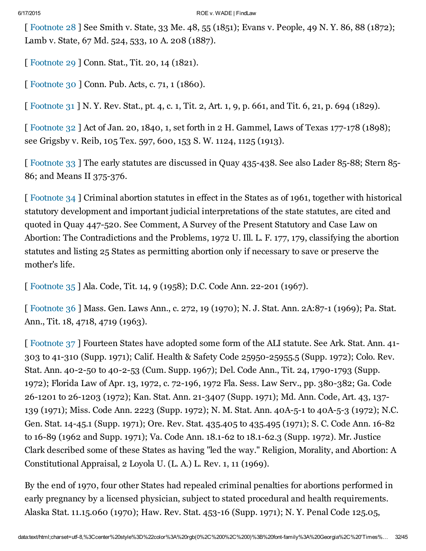[ [Footnote](http://caselaw.findlaw.com/us-supreme-court/410/113.html#t28) 28 ] See Smith v. State, 33 Me. 48, 55 (1851); Evans v. People, 49 N. Y. 86, 88 (1872); Lamb v. State, 67 Md. 524, 533, 10 A. 208 (1887).

[ [Footnote](http://caselaw.findlaw.com/us-supreme-court/410/113.html#t29) 29 ] Conn. Stat., Tit. 20, 14 (1821).

[ [Footnote](http://caselaw.findlaw.com/us-supreme-court/410/113.html#t30) 30 ] Conn. Pub. Acts, c. 71, 1 (1860).

[ [Footnote](http://caselaw.findlaw.com/us-supreme-court/410/113.html#t31) 31 ] N. Y. Rev. Stat., pt. 4, c. 1, Tit. 2, Art. 1, 9, p. 661, and Tit. 6, 21, p. 694 (1829).

[ [Footnote](http://caselaw.findlaw.com/us-supreme-court/410/113.html#t32) 32 ] Act of Jan. 20, 1840, 1, set forth in 2 H. Gammel, Laws of Texas 177-178 (1898); see Grigsby v. Reib, 105 Tex. 597, 600, 153 S. W. 1124, 1125 (1913).

[ [Footnote](http://caselaw.findlaw.com/us-supreme-court/410/113.html#t33)  $33$  ] The early statutes are discussed in Quay 435-438. See also Lader 85-88; Stern 85-86; and Means II 375-376.

[ [Footnote](http://caselaw.findlaw.com/us-supreme-court/410/113.html#t34) 34 ] Criminal abortion statutes in effect in the States as of 1961, together with historical statutory development and important judicial interpretations of the state statutes, are cited and quoted in Quay 447-520. See Comment, A Survey of the Present Statutory and Case Law on Abortion: The Contradictions and the Problems, 1972 U. Ill. L. F. 177, 179, classifying the abortion statutes and listing 25 States as permitting abortion only if necessary to save or preserve the mother's life.

[ [Footnote](http://caselaw.findlaw.com/us-supreme-court/410/113.html#t35) 35 ] Ala. Code, Tit. 14, 9 (1958); D.C. Code Ann. 22-201 (1967).

[ [Footnote](http://caselaw.findlaw.com/us-supreme-court/410/113.html#t36) 36 ] Mass. Gen. Laws Ann., c. 272, 19 (1970); N. J. Stat. Ann. 2A:87-1 (1969); Pa. Stat. Ann., Tit. 18, 4718, 4719 (1963).

[ [Footnote](http://caselaw.findlaw.com/us-supreme-court/410/113.html#t37) 37 ] Fourteen States have adopted some form of the ALI statute. See Ark. Stat. Ann. 41 303 to 41310 (Supp. 1971); Calif. Health & Safety Code 2595025955.5 (Supp. 1972); Colo. Rev. Stat. Ann. 40-2-50 to 40-2-53 (Cum. Supp. 1967); Del. Code Ann., Tit. 24, 1790-1793 (Supp. 1972); Florida Law of Apr. 13, 1972, c. 72-196, 1972 Fla. Sess. Law Serv., pp. 380-382; Ga. Code 26-1201 to 26-1203 (1972); Kan. Stat. Ann. 21-3407 (Supp. 1971); Md. Ann. Code, Art. 43, 137-139 (1971); Miss. Code Ann. 2223 (Supp. 1972); N. M. Stat. Ann. 40A-5-1 to 40A-5-3 (1972); N.C. Gen. Stat. 14-45.1 (Supp. 1971); Ore. Rev. Stat. 435.405 to 435.495 (1971); S. C. Code Ann. 16-82 to 16-89 (1962 and Supp. 1971); Va. Code Ann. 18.1-62 to 18.1-62.3 (Supp. 1972). Mr. Justice Clark described some of these States as having "led the way." Religion, Morality, and Abortion: A Constitutional Appraisal, 2 Loyola U. (L. A.) L. Rev. 1, 11 (1969).

By the end of 1970, four other States had repealed criminal penalties for abortions performed in early pregnancy by a licensed physician, subject to stated procedural and health requirements. Alaska Stat. 11.15.060 (1970); Haw. Rev. Stat. 453-16 (Supp. 1971); N. Y. Penal Code 125.05,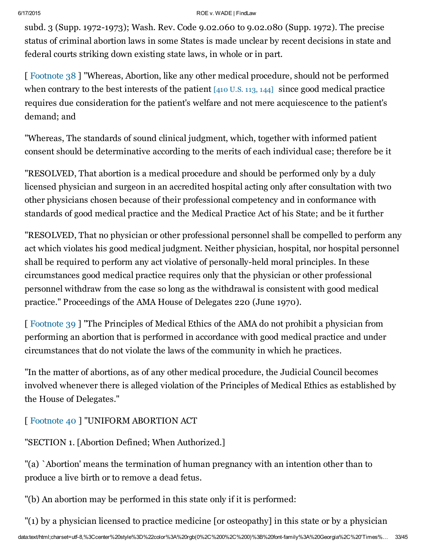subd. 3 (Supp. 1972-1973); Wash. Rev. Code 9.02.060 to 9.02.080 (Supp. 1972). The precise status of criminal abortion laws in some States is made unclear by recent decisions in state and federal courts striking down existing state laws, in whole or in part.

[ [Footnote](http://caselaw.findlaw.com/us-supreme-court/410/113.html#t38) 38 ] "Whereas, Abortion, like any other medical procedure, should not be performed when contrary to the best interests of the patient [410 U.S. 113, 144] since good medical practice requires due consideration for the patient's welfare and not mere acquiescence to the patient's demand; and

"Whereas, The standards of sound clinical judgment, which, together with informed patient consent should be determinative according to the merits of each individual case; therefore be it

"RESOLVED, That abortion is a medical procedure and should be performed only by a duly licensed physician and surgeon in an accredited hospital acting only after consultation with two other physicians chosen because of their professional competency and in conformance with standards of good medical practice and the Medical Practice Act of his State; and be it further

"RESOLVED, That no physician or other professional personnel shall be compelled to perform any act which violates his good medical judgment. Neither physician, hospital, nor hospital personnel shall be required to perform any act violative of personally-held moral principles. In these circumstances good medical practice requires only that the physician or other professional personnel withdraw from the case so long as the withdrawal is consistent with good medical practice." Proceedings of the AMA House of Delegates 220 (June 1970).

[ [Footnote](http://caselaw.findlaw.com/us-supreme-court/410/113.html#t39) 39 ] "The Principles of Medical Ethics of the AMA do not prohibit a physician from performing an abortion that is performed in accordance with good medical practice and under circumstances that do not violate the laws of the community in which he practices.

"In the matter of abortions, as of any other medical procedure, the Judicial Council becomes involved whenever there is alleged violation of the Principles of Medical Ethics as established by the House of Delegates."

## [ [Footnote](http://caselaw.findlaw.com/us-supreme-court/410/113.html#t40) 40 ] "UNIFORM ABORTION ACT

"SECTION 1. [Abortion Defined; When Authorized.]

"(a) `Abortion' means the termination of human pregnancy with an intention other than to produce a live birth or to remove a dead fetus.

"(b) An abortion may be performed in this state only if it is performed:

"(1) by a physician licensed to practice medicine [or osteopathy] in this state or by a physician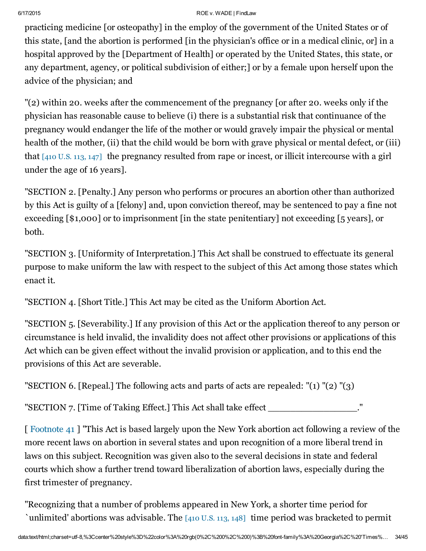practicing medicine [or osteopathy] in the employ of the government of the United States or of this state, [and the abortion is performed [in the physician's office or in a medical clinic, or] in a hospital approved by the [Department of Health] or operated by the United States, this state, or any department, agency, or political subdivision of either;] or by a female upon herself upon the advice of the physician; and

"(2) within 20. weeks after the commencement of the pregnancy [or after 20. weeks only if the physician has reasonable cause to believe (i) there is a substantial risk that continuance of the pregnancy would endanger the life of the mother or would gravely impair the physical or mental health of the mother, (ii) that the child would be born with grave physical or mental defect, or (iii) that [410 U.S. 113, 147] the pregnancy resulted from rape or incest, or illicit intercourse with a girl under the age of 16 years].

"SECTION 2. [Penalty.] Any person who performs or procures an abortion other than authorized by this Act is guilty of a [felony] and, upon conviction thereof, may be sentenced to pay a fine not exceeding [\$1,000] or to imprisonment [in the state penitentiary] not exceeding [5 years], or both.

"SECTION 3. [Uniformity of Interpretation.] This Act shall be construed to effectuate its general purpose to make uniform the law with respect to the subject of this Act among those states which enact it.

"SECTION 4. [Short Title.] This Act may be cited as the Uniform Abortion Act.

"SECTION 5. [Severability.] If any provision of this Act or the application thereof to any person or circumstance is held invalid, the invalidity does not affect other provisions or applications of this Act which can be given effect without the invalid provision or application, and to this end the provisions of this Act are severable.

"SECTION 6. [Repeal.] The following acts and parts of acts are repealed: "(1) "(2) "(3)

"SECTION 7. [Time of Taking Effect.] This Act shall take effect \_\_\_\_\_\_\_\_\_\_\_\_\_\_\_\_."

[ [Footnote](http://caselaw.findlaw.com/us-supreme-court/410/113.html#t41) 41 ] "This Act is based largely upon the New York abortion act following a review of the more recent laws on abortion in several states and upon recognition of a more liberal trend in laws on this subject. Recognition was given also to the several decisions in state and federal courts which show a further trend toward liberalization of abortion laws, especially during the first trimester of pregnancy.

"Recognizing that a number of problems appeared in New York, a shorter time period for `unlimited' abortions was advisable. The  $[410 \text{ U.S. } 113, 148]$  time period was bracketed to permit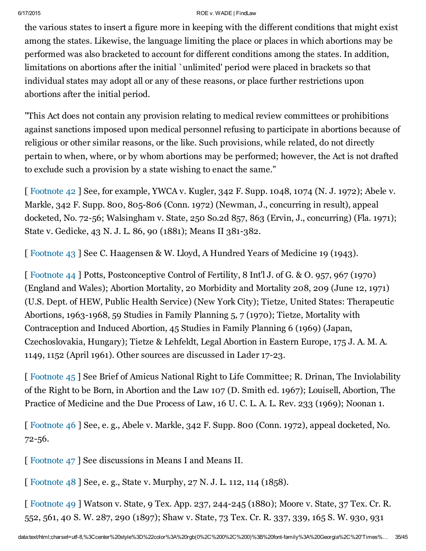the various states to insert a figure more in keeping with the different conditions that might exist among the states. Likewise, the language limiting the place or places in which abortions may be performed was also bracketed to account for different conditions among the states. In addition, limitations on abortions after the initial `unlimited' period were placed in brackets so that individual states may adopt all or any of these reasons, or place further restrictions upon abortions after the initial period.

"This Act does not contain any provision relating to medical review committees or prohibitions against sanctions imposed upon medical personnel refusing to participate in abortions because of religious or other similar reasons, or the like. Such provisions, while related, do not directly pertain to when, where, or by whom abortions may be performed; however, the Act is not drafted to exclude such a provision by a state wishing to enact the same."

[ [Footnote](http://caselaw.findlaw.com/us-supreme-court/410/113.html#t42) 42 ] See, for example, YWCA v. Kugler, 342 F. Supp. 1048, 1074 (N. J. 1972); Abele v. Markle, 342 F. Supp. 800, 805-806 (Conn. 1972) (Newman, J., concurring in result), appeal docketed, No. 72-56; Walsingham v. State, 250 So.2d 857, 863 (Ervin, J., concurring) (Fla. 1971); State v. Gedicke, 43 N. J. L. 86, 90 (1881); Means II 381-382.

[ [Footnote](http://caselaw.findlaw.com/us-supreme-court/410/113.html#t43) 43 ] See C. Haagensen & W. Lloyd, A Hundred Years of Medicine 19 (1943).

[ [Footnote](http://caselaw.findlaw.com/us-supreme-court/410/113.html#t44) 44 ] Potts, Postconceptive Control of Fertility, 8 Int<sup>'</sup>l J. of G. & O. 957, 967 (1970) (England and Wales); Abortion Mortality, 20 Morbidity and Mortality 208, 209 (June 12, 1971) (U.S. Dept. of HEW, Public Health Service) (New York City); Tietze, United States: Therapeutic Abortions, 1963-1968, 59 Studies in Family Planning 5, 7 (1970); Tietze, Mortality with Contraception and Induced Abortion, 45 Studies in Family Planning 6 (1969) (Japan, Czechoslovakia, Hungary); Tietze & Lehfeldt, Legal Abortion in Eastern Europe, 175 J. A. M. A. 1149, 1152 (April 1961). Other sources are discussed in Lader 1723.

[ [Footnote](http://caselaw.findlaw.com/us-supreme-court/410/113.html#t45) 45 ] See Brief of Amicus National Right to Life Committee; R. Drinan, The Inviolability of the Right to be Born, in Abortion and the Law 107 (D. Smith ed. 1967); Louisell, Abortion, The Practice of Medicine and the Due Process of Law, 16 U. C. L. A. L. Rev. 233 (1969); Noonan 1.

[ [Footnote](http://caselaw.findlaw.com/us-supreme-court/410/113.html#t46) 46 ] See, e. g., Abele v. Markle, 342 F. Supp. 800 (Conn. 1972), appeal docketed, No. 72-56.

[ [Footnote](http://caselaw.findlaw.com/us-supreme-court/410/113.html#t47) 47 ] See discussions in Means I and Means II.

[ [Footnote](http://caselaw.findlaw.com/us-supreme-court/410/113.html#t48) 48 ] See, e. g., State v. Murphy, 27 N. J. L. 112, 114 (1858).

[ [Footnote](http://caselaw.findlaw.com/us-supreme-court/410/113.html#t49) 49 ] Watson v. State, 9 Tex. App. 237, 244-245 (1880); Moore v. State, 37 Tex. Cr. R. 552, 561, 40 S. W. 287, 290 (1897); Shaw v. State, 73 Tex. Cr. R. 337, 339, 165 S. W. 930, 931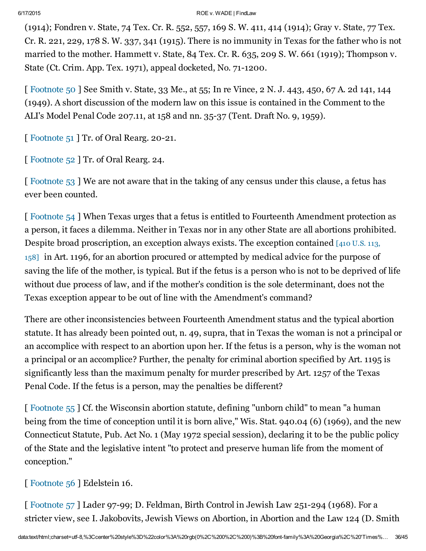(1914); Fondren v. State, 74 Tex. Cr. R. 552, 557, 169 S. W. 411, 414 (1914); Gray v. State, 77 Tex. Cr. R. 221, 229, 178 S. W. 337, 341 (1915). There is no immunity in Texas for the father who is not married to the mother. Hammett v. State, 84 Tex. Cr. R. 635, 209 S. W. 661 (1919); Thompson v. State (Ct. Crim. App. Tex. 1971), appeal docketed, No. 71-1200.

[ [Footnote](http://caselaw.findlaw.com/us-supreme-court/410/113.html#t50) 50 ] See Smith v. State, 33 Me., at 55; In re Vince, 2 N. J. 443, 450, 67 A. 2d 141, 144 (1949). A short discussion of the modern law on this issue is contained in the Comment to the ALI's Model Penal Code 207.11, at 158 and nn. 35-37 (Tent. Draft No. 9, 1959).

[ [Footnote](http://caselaw.findlaw.com/us-supreme-court/410/113.html#t51)  $51$  ] Tr. of Oral Rearg. 20-21.

[ [Footnote](http://caselaw.findlaw.com/us-supreme-court/410/113.html#t52) 52 ] Tr. of Oral Rearg. 24.

[ [Footnote](http://caselaw.findlaw.com/us-supreme-court/410/113.html#t53) 53 ] We are not aware that in the taking of any census under this clause, a fetus has ever been counted.

[ [Footnote](http://caselaw.findlaw.com/us-supreme-court/410/113.html#t54) 54 ] When Texas urges that a fetus is entitled to Fourteenth Amendment protection as a person, it faces a dilemma. Neither in Texas nor in any other State are all abortions prohibited. Despite broad proscription, an exception always exists. The exception contained [410 U.S. 113, 158] in Art. 1196, for an abortion procured or attempted by medical advice for the purpose of saving the life of the mother, is typical. But if the fetus is a person who is not to be deprived of life without due process of law, and if the mother's condition is the sole determinant, does not the Texas exception appear to be out of line with the Amendment's command?

There are other inconsistencies between Fourteenth Amendment status and the typical abortion statute. It has already been pointed out, n. 49, supra, that in Texas the woman is not a principal or an accomplice with respect to an abortion upon her. If the fetus is a person, why is the woman not a principal or an accomplice? Further, the penalty for criminal abortion specified by Art. 1195 is significantly less than the maximum penalty for murder prescribed by Art. 1257 of the Texas Penal Code. If the fetus is a person, may the penalties be different?

[ [Footnote](http://caselaw.findlaw.com/us-supreme-court/410/113.html#t55) 55 ] Cf. the Wisconsin abortion statute, defining "unborn child" to mean "a human being from the time of conception until it is born alive," Wis. Stat. 940.04 (6) (1969), and the new Connecticut Statute, Pub. Act No. 1 (May 1972 special session), declaring it to be the public policy of the State and the legislative intent "to protect and preserve human life from the moment of conception."

[ [Footnote](http://caselaw.findlaw.com/us-supreme-court/410/113.html#t56) 56 ] Edelstein 16.

[ [Footnote](http://caselaw.findlaw.com/us-supreme-court/410/113.html#t57)  $57$  ] Lader 97-99; D. Feldman, Birth Control in Jewish Law 251-294 (1968). For a stricter view, see I. Jakobovits, Jewish Views on Abortion, in Abortion and the Law 124 (D. Smith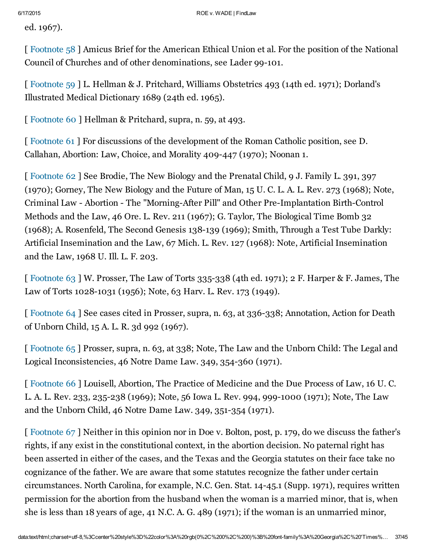ed. 1967).

[ [Footnote](http://caselaw.findlaw.com/us-supreme-court/410/113.html#t58) 58 ] Amicus Brief for the American Ethical Union et al. For the position of the National Council of Churches and of other denominations, see Lader 99-101.

[ [Footnote](http://caselaw.findlaw.com/us-supreme-court/410/113.html#t59) 59 ] L. Hellman & J. Pritchard, Williams Obstetrics 493 (14th ed. 1971); Dorland's Illustrated Medical Dictionary 1689 (24th ed. 1965).

[ [Footnote](http://caselaw.findlaw.com/us-supreme-court/410/113.html#t60) 60 ] Hellman & Pritchard, supra, n. 59, at 493.

[ [Footnote](http://caselaw.findlaw.com/us-supreme-court/410/113.html#t61) 61 ] For discussions of the development of the Roman Catholic position, see D. Callahan, Abortion: Law, Choice, and Morality 409-447 (1970); Noonan 1.

[ [Footnote](http://caselaw.findlaw.com/us-supreme-court/410/113.html#t62) 62 ] See Brodie, The New Biology and the Prenatal Child, 9 J. Family L. 391, 397 (1970); Gorney, The New Biology and the Future of Man, 15 U. C. L. A. L. Rev. 273 (1968); Note, Criminal Law - Abortion - The "Morning-After Pill" and Other Pre-Implantation Birth-Control Methods and the Law, 46 Ore. L. Rev. 211 (1967); G. Taylor, The Biological Time Bomb 32 (1968); A. Rosenfeld, The Second Genesis 138139 (1969); Smith, Through a Test Tube Darkly: Artificial Insemination and the Law, 67 Mich. L. Rev. 127 (1968): Note, Artificial Insemination and the Law, 1968 U. Ill. L. F. 203.

[ [Footnote](http://caselaw.findlaw.com/us-supreme-court/410/113.html#t63) 63 ] W. Prosser, The Law of Torts  $335-338$  (4th ed. 1971); 2 F. Harper & F. James, The Law of Torts 1028-1031 (1956); Note, 63 Harv. L. Rev. 173 (1949).

[ [Footnote](http://caselaw.findlaw.com/us-supreme-court/410/113.html#t64) 64] See cases cited in Prosser, supra, n. 63, at 336-338; Annotation, Action for Death of Unborn Child, 15 A. L. R. 3d 992 (1967).

[ [Footnote](http://caselaw.findlaw.com/us-supreme-court/410/113.html#t65) 65 ] Prosser, supra, n. 63, at 338; Note, The Law and the Unborn Child: The Legal and Logical Inconsistencies, 46 Notre Dame Law. 349, 354-360 (1971).

[ [Footnote](http://caselaw.findlaw.com/us-supreme-court/410/113.html#t66) 66 ] Louisell, Abortion, The Practice of Medicine and the Due Process of Law, 16 U. C. L. A. L. Rev. 233, 235-238 (1969); Note, 56 Iowa L. Rev. 994, 999-1000 (1971); Note, The Law and the Unborn Child, 46 Notre Dame Law. 349, 351-354 (1971).

[ [Footnote](http://caselaw.findlaw.com/us-supreme-court/410/113.html#t67) 67 ] Neither in this opinion nor in Doe v. Bolton, post, p. 179, do we discuss the father's rights, if any exist in the constitutional context, in the abortion decision. No paternal right has been asserted in either of the cases, and the Texas and the Georgia statutes on their face take no cognizance of the father. We are aware that some statutes recognize the father under certain circumstances. North Carolina, for example, N.C. Gen. Stat. 1445.1 (Supp. 1971), requires written permission for the abortion from the husband when the woman is a married minor, that is, when she is less than 18 years of age, 41 N.C. A. G. 489 (1971); if the woman is an unmarried minor,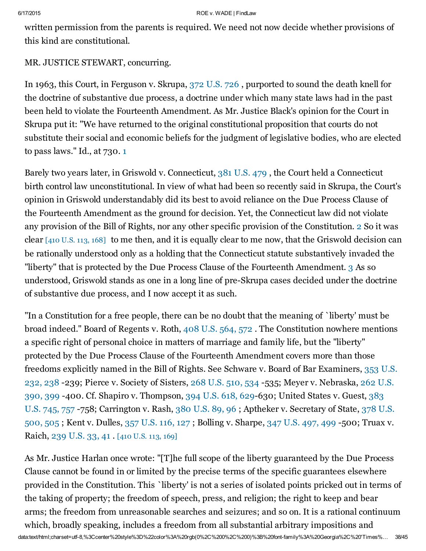written permission from the parents is required. We need not now decide whether provisions of this kind are constitutional.

MR. JUSTICE STEWART, concurring.

In 1963, this Court, in Ferguson v. Skrupa, 372 [U.S.](http://caselaw.findlaw.com/us-supreme-court/372/726.html) 726 , purported to sound the death knell for the doctrine of substantive due process, a doctrine under which many state laws had in the past been held to violate the Fourteenth Amendment. As Mr. Justice Black's opinion for the Court in Skrupa put it: "We have returned to the original constitutional proposition that courts do not substitute their social and economic beliefs for the judgment of legislative bodies, who are elected to pass laws." Id., at 730. [1](http://caselaw.findlaw.com/us-supreme-court/410/113.html#fff1)

Barely two years later, in Griswold v. Connecticut, 381 [U.S.](http://caselaw.findlaw.com/us-supreme-court/381/479.html) 479 , the Court held a Connecticut birth control law unconstitutional. In view of what had been so recently said in Skrupa, the Court's opinion in Griswold understandably did its best to avoid reliance on the Due Process Clause of the Fourteenth Amendment as the ground for decision. Yet, the Connecticut law did not violate any provision of the Bill of Rights, nor any other specific provision of the Constitution. [2](http://caselaw.findlaw.com/us-supreme-court/410/113.html#fff2) So it was clear [410 U.S. 113, 168] to me then, and it is equally clear to me now, that the Griswold decision can be rationally understood only as a holding that the Connecticut statute substantively invaded the "liberty" that is protected by the Due Process Clause of the Fourteenth Amendment. [3](http://caselaw.findlaw.com/us-supreme-court/410/113.html#ff3) As so understood, Griswold stands as one in a long line of pre-Skrupa cases decided under the doctrine of substantive due process, and I now accept it as such.

"In a Constitution for a free people, there can be no doubt that the meaning of `liberty' must be broad indeed." Board of Regents v. Roth, 408 U.S. [564,](http://caselaw.findlaw.com/us-supreme-court/408/564.html#572) 572 . The Constitution nowhere mentions a specific right of personal choice in matters of marriage and family life, but the "liberty" protected by the Due Process Clause of the Fourteenth Amendment covers more than those freedoms explicitly named in the Bill of Rights. See Schware v. Board of Bar [Examiners,](http://caselaw.findlaw.com/us-supreme-court/353/232.html#238) 353 U.S. 232, 238 239; Pierce v. Society of Sisters, 268 [U.S.](http://caselaw.findlaw.com/us-supreme-court/268/510.html#534) 510, 534 535; Meyer v. [Nebraska,](http://caselaw.findlaw.com/us-supreme-court/262/390.html#399) 262 U.S. 390, 399 -400. Cf. Shapiro v. [Thompson,](http://caselaw.findlaw.com/us-supreme-court/383/745.html#757) 394 [U.S.](http://caselaw.findlaw.com/us-supreme-court/394/618.html#629) 618, 629-630; United States v. Guest, 383 U.S. 745, 757 - 758; [Carrington](http://caselaw.findlaw.com/us-supreme-court/378/500.html#505) v. Rash, 380 [U.S.](http://caselaw.findlaw.com/us-supreme-court/380/89.html#96) 89, 96; Aptheker v. Secretary of State, 378 U.S. 500, 505; Kent v. Dulles, 357 [U.S.](http://caselaw.findlaw.com/us-supreme-court/357/116.html#127) 116, 127; Bolling v. Sharpe, 347 U.S. [497,](http://caselaw.findlaw.com/us-supreme-court/347/497.html#499) 499 - 500; Truax v. Raich, 239 [U.S.](http://caselaw.findlaw.com/us-supreme-court/239/33.html#41) 33, 41 . [410 U.S. 113, 169]

As Mr. Justice Harlan once wrote: "[T]he full scope of the liberty guaranteed by the Due Process Clause cannot be found in or limited by the precise terms of the specific guarantees elsewhere provided in the Constitution. This `liberty' is not a series of isolated points pricked out in terms of the taking of property; the freedom of speech, press, and religion; the right to keep and bear arms; the freedom from unreasonable searches and seizures; and so on. It is a rational continuum which, broadly speaking, includes a freedom from all substantial arbitrary impositions and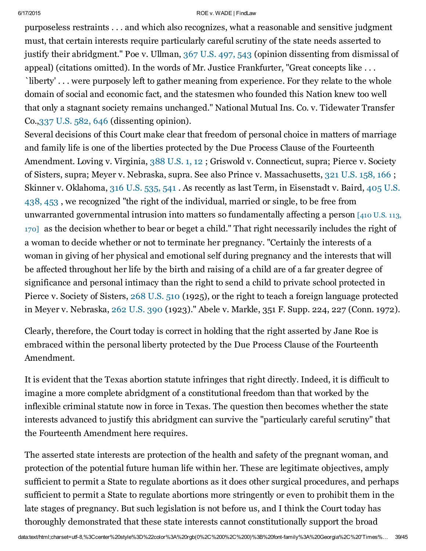purposeless restraints . . . and which also recognizes, what a reasonable and sensitive judgment must, that certain interests require particularly careful scrutiny of the state needs asserted to justify their abridgment." Poe v. Ullman, 367 U.S. [497,](http://caselaw.findlaw.com/us-supreme-court/367/497.html#543) 543 (opinion dissenting from dismissal of appeal) (citations omitted). In the words of Mr. Justice Frankfurter, "Great concepts like ... `liberty' . . . were purposely left to gather meaning from experience. For they relate to the whole domain of social and economic fact, and the statesmen who founded this Nation knew too well that only a stagnant society remains unchanged." National Mutual Ins. Co. v. Tidewater Transfer Co.,337 U.S. [582,](http://caselaw.findlaw.com/us-supreme-court/337/582.html#646) 646 (dissenting opinion).

Several decisions of this Court make clear that freedom of personal choice in matters of marriage and family life is one of the liberties protected by the Due Process Clause of the Fourteenth Amendment. Loving v. Virginia, 388 [U.S.](http://caselaw.findlaw.com/us-supreme-court/388/1.html#12) 1, 12 ; Griswold v. Connecticut, supra; Pierce v. Society of Sisters, supra; Meyer v. Nebraska, supra. See also Prince v. Massachusetts, 321 [U.S.](http://caselaw.findlaw.com/us-supreme-court/321/158.html#166) 158, 166 ; Skinner v. [Oklahoma,](http://caselaw.findlaw.com/us-supreme-court/405/438.html#453) 316 [U.S.](http://caselaw.findlaw.com/us-supreme-court/316/535.html#541) 535, 541 . As recently as last Term, in Eisenstadt v. Baird, 405 U.S. 438, 453 , we recognized "the right of the individual, married or single, to be free from unwarranted governmental intrusion into matters so fundamentally affecting a person [410 U.S. 113, 170] as the decision whether to bear or beget a child." That right necessarily includes the right of a woman to decide whether or not to terminate her pregnancy. "Certainly the interests of a woman in giving of her physical and emotional self during pregnancy and the interests that will be affected throughout her life by the birth and raising of a child are of a far greater degree of significance and personal intimacy than the right to send a child to private school protected in Pierce v. Society of Sisters, 268 [U.S.](http://caselaw.findlaw.com/us-supreme-court/268/510.html) 510 (1925), or the right to teach a foreign language protected in Meyer v. Nebraska, 262 [U.S.](http://caselaw.findlaw.com/us-supreme-court/262/390.html) 390 (1923)." Abele v. Markle, 351 F. Supp. 224, 227 (Conn. 1972).

Clearly, therefore, the Court today is correct in holding that the right asserted by Jane Roe is embraced within the personal liberty protected by the Due Process Clause of the Fourteenth Amendment.

It is evident that the Texas abortion statute infringes that right directly. Indeed, it is difficult to imagine a more complete abridgment of a constitutional freedom than that worked by the inflexible criminal statute now in force in Texas. The question then becomes whether the state interests advanced to justify this abridgment can survive the "particularly careful scrutiny" that the Fourteenth Amendment here requires.

The asserted state interests are protection of the health and safety of the pregnant woman, and protection of the potential future human life within her. These are legitimate objectives, amply sufficient to permit a State to regulate abortions as it does other surgical procedures, and perhaps sufficient to permit a State to regulate abortions more stringently or even to prohibit them in the late stages of pregnancy. But such legislation is not before us, and I think the Court today has thoroughly demonstrated that these state interests cannot constitutionally support the broad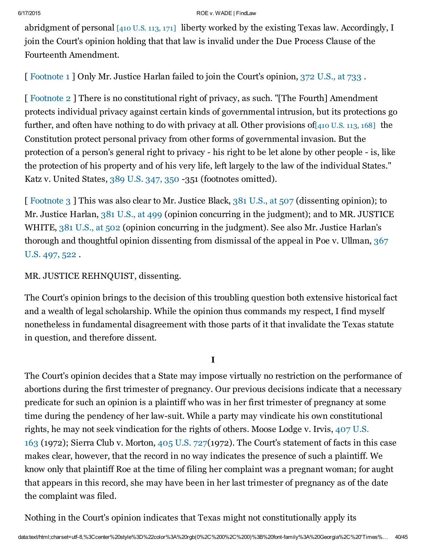abridgment of personal [410 U.S. 113, 171] liberty worked by the existing Texas law. Accordingly, I join the Court's opinion holding that that law is invalid under the Due Process Clause of the Fourteenth Amendment.

[ [Footnote](http://caselaw.findlaw.com/us-supreme-court/410/113.html#ttt1) 1 ] Only Mr. Justice Harlan failed to join the Court's opinion, 372 [U.S.,](http://caselaw.findlaw.com/us-supreme-court/372/726.html#733) at 733.

[ [Footnote](http://caselaw.findlaw.com/us-supreme-court/410/113.html#ttt2) 2 ] There is no constitutional right of privacy, as such. "[The Fourth] Amendment protects individual privacy against certain kinds of governmental intrusion, but its protections go further, and often have nothing to do with privacy at all. Other provisions of  $[410 \text{ U.S. } 113, 168]$  the Constitution protect personal privacy from other forms of governmental invasion. But the protection of a person's general right to privacy - his right to be let alone by other people - is, like the protection of his property and of his very life, left largely to the law of the individual States." Katz v. United States, 389 U.S. [347,](http://caselaw.findlaw.com/us-supreme-court/389/347.html#350) 350 -351 (footnotes omitted).

[ [Footnote](http://caselaw.findlaw.com/us-supreme-court/410/113.html#tt3) 3 ] This was also clear to Mr. Justice Black, 381 [U.S.,](http://caselaw.findlaw.com/us-supreme-court/381/479.html#507) at 507 (dissenting opinion); to Mr. Justice Harlan, 381 [U.S.,](http://caselaw.findlaw.com/us-supreme-court/381/479.html#499) at 499 (opinion concurring in the judgment); and to MR. JUSTICE WHITE, 381 [U.S.,](http://caselaw.findlaw.com/us-supreme-court/381/479.html#502) at 502 (opinion concurring in the judgment). See also Mr. Justice Harlan's thorough and thoughtful opinion [dissenting](http://caselaw.findlaw.com/us-supreme-court/367/497.html#522) from dismissal of the appeal in Poe v. Ullman, 367 U.S. 497, 522 .

MR. JUSTICE REHNQUIST, dissenting.

The Court's opinion brings to the decision of this troubling question both extensive historical fact and a wealth of legal scholarship. While the opinion thus commands my respect, I find myself nonetheless in fundamental disagreement with those parts of it that invalidate the Texas statute in question, and therefore dissent.

I

The Court's opinion decides that a State may impose virtually no restriction on the performance of abortions during the first trimester of pregnancy. Our previous decisions indicate that a necessary predicate for such an opinion is a plaintiff who was in her first trimester of pregnancy at some time during the pendency of her law-suit. While a party may vindicate his own constitutional rights, he may not seek [vindication](http://caselaw.findlaw.com/us-supreme-court/407/163.html) for the rights of others. Moose Lodge v. Irvis, 407 U.S. 163 (1972); Sierra Club v. Morton, 405 [U.S.](http://caselaw.findlaw.com/us-supreme-court/405/727.html) 727(1972). The Court's statement of facts in this case makes clear, however, that the record in no way indicates the presence of such a plaintiff. We know only that plaintiff Roe at the time of filing her complaint was a pregnant woman; for aught that appears in this record, she may have been in her last trimester of pregnancy as of the date the complaint was filed.

Nothing in the Court's opinion indicates that Texas might not constitutionally apply its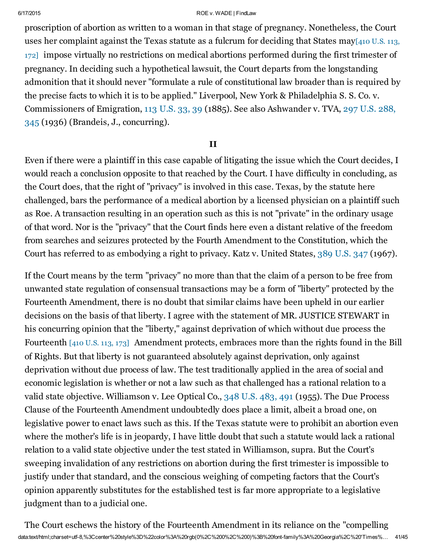proscription of abortion as written to a woman in that stage of pregnancy. Nonetheless, the Court uses her complaint against the Texas statute as a fulcrum for deciding that States may[410 U.S. 113, 172] impose virtually no restrictions on medical abortions performed during the first trimester of pregnancy. In deciding such a hypothetical lawsuit, the Court departs from the longstanding admonition that it should never "formulate a rule of constitutional law broader than is required by the precise facts to which it is to be applied." Liverpool, New York & Philadelphia S. S. Co. v. [Commissioners](http://caselaw.findlaw.com/us-supreme-court/297/288.html#345) of Emigration, 113 [U.S.](http://caselaw.findlaw.com/us-supreme-court/113/33.html#39) 33, 39 (1885). See also Ashwander v. TVA, 297 U.S. 288, 345 (1936) (Brandeis, J., concurring).

## II

Even if there were a plaintiff in this case capable of litigating the issue which the Court decides, I would reach a conclusion opposite to that reached by the Court. I have difficulty in concluding, as the Court does, that the right of "privacy" is involved in this case. Texas, by the statute here challenged, bars the performance of a medical abortion by a licensed physician on a plaintiff such as Roe. A transaction resulting in an operation such as this is not "private" in the ordinary usage of that word. Nor is the "privacy" that the Court finds here even a distant relative of the freedom from searches and seizures protected by the Fourth Amendment to the Constitution, which the Court has referred to as embodying a right to privacy. Katz v. United States, 389 [U.S.](http://caselaw.findlaw.com/us-supreme-court/389/347.html) 347 (1967).

If the Court means by the term "privacy" no more than that the claim of a person to be free from unwanted state regulation of consensual transactions may be a form of "liberty" protected by the Fourteenth Amendment, there is no doubt that similar claims have been upheld in our earlier decisions on the basis of that liberty. I agree with the statement of MR. JUSTICE STEWART in his concurring opinion that the "liberty," against deprivation of which without due process the Fourteenth [410 U.S. 113, 173] Amendment protects, embraces more than the rights found in the Bill of Rights. But that liberty is not guaranteed absolutely against deprivation, only against deprivation without due process of law. The test traditionally applied in the area of social and economic legislation is whether or not a law such as that challenged has a rational relation to a valid state objective. Williamson v. Lee Optical Co., 348 U.S. [483,](http://caselaw.findlaw.com/us-supreme-court/348/483.html#491) 491 (1955). The Due Process Clause of the Fourteenth Amendment undoubtedly does place a limit, albeit a broad one, on legislative power to enact laws such as this. If the Texas statute were to prohibit an abortion even where the mother's life is in jeopardy, I have little doubt that such a statute would lack a rational relation to a valid state objective under the test stated in Williamson, supra. But the Court's sweeping invalidation of any restrictions on abortion during the first trimester is impossible to justify under that standard, and the conscious weighing of competing factors that the Court's opinion apparently substitutes for the established test is far more appropriate to a legislative judgment than to a judicial one.

data:text/html;charset=utf8,%3Ccenter%20style%3D%22color%3A%20rgb(0%2C%200%2C%200)%3B%20fontfamily%3A%20Georgia%2C%20'Times%… 41/45 The Court eschews the history of the Fourteenth Amendment in its reliance on the "compelling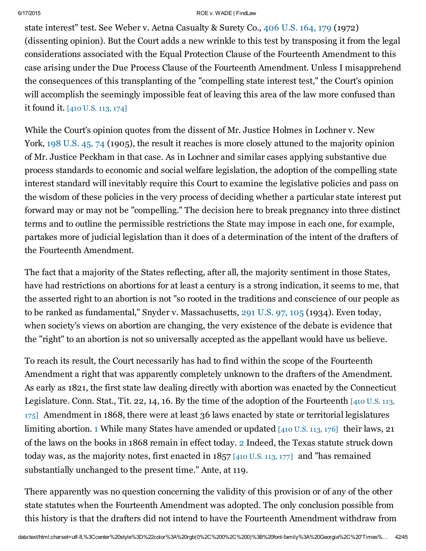state interest" test. See Weber v. Aetna Casualty & Surety Co., 406 [U.S.](http://caselaw.findlaw.com/us-supreme-court/406/164.html#179) 164, 179 (1972) (dissenting opinion). But the Court adds a new wrinkle to this test by transposing it from the legal considerations associated with the Equal Protection Clause of the Fourteenth Amendment to this case arising under the Due Process Clause of the Fourteenth Amendment. Unless I misapprehend the consequences of this transplanting of the "compelling state interest test," the Court's opinion will accomplish the seemingly impossible feat of leaving this area of the law more confused than it found it. [410 U.S. 113, 174]

While the Court's opinion quotes from the dissent of Mr. Justice Holmes in Lochner v. New York, 198 [U.S.](http://caselaw.findlaw.com/us-supreme-court/198/45.html#74) 45, 74 (1905), the result it reaches is more closely attuned to the majority opinion of Mr. Justice Peckham in that case. As in Lochner and similar cases applying substantive due process standards to economic and social welfare legislation, the adoption of the compelling state interest standard will inevitably require this Court to examine the legislative policies and pass on the wisdom of these policies in the very process of deciding whether a particular state interest put forward may or may not be "compelling." The decision here to break pregnancy into three distinct terms and to outline the permissible restrictions the State may impose in each one, for example, partakes more of judicial legislation than it does of a determination of the intent of the drafters of the Fourteenth Amendment.

The fact that a majority of the States reflecting, after all, the majority sentiment in those States, have had restrictions on abortions for at least a century is a strong indication, it seems to me, that the asserted right to an abortion is not "so rooted in the traditions and conscience of our people as to be ranked as fundamental," Snyder v. Massachusetts, 291 [U.S.](http://caselaw.findlaw.com/us-supreme-court/291/97.html#105) 97, 105 (1934). Even today, when society's views on abortion are changing, the very existence of the debate is evidence that the "right" to an abortion is not so universally accepted as the appellant would have us believe.

To reach its result, the Court necessarily has had to find within the scope of the Fourteenth Amendment a right that was apparently completely unknown to the drafters of the Amendment. As early as 1821, the first state law dealing directly with abortion was enacted by the Connecticut Legislature. Conn. Stat., Tit. 22, 14, 16. By the time of the adoption of the Fourteenth [410 U.S. 113, 175] Amendment in 1868, there were at least 36 laws enacted by state or territorial legislatures limiting abortion. [1](http://caselaw.findlaw.com/us-supreme-court/410/113.html#ff1) While many States have amended or updated [410 U.S. 113, 176] their laws, 21 of the laws on the books in 1868 remain in effect today. [2](http://caselaw.findlaw.com/us-supreme-court/410/113.html#ff2) Indeed, the Texas statute struck down today was, as the majority notes, first enacted in 1857 [410 U.S. 113, 177] and "has remained substantially unchanged to the present time." Ante, at 119.

There apparently was no question concerning the validity of this provision or of any of the other state statutes when the Fourteenth Amendment was adopted. The only conclusion possible from this history is that the drafters did not intend to have the Fourteenth Amendment withdraw from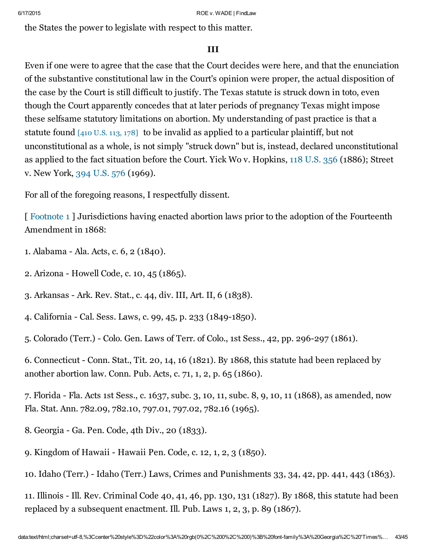the States the power to legislate with respect to this matter.

## III

Even if one were to agree that the case that the Court decides were here, and that the enunciation of the substantive constitutional law in the Court's opinion were proper, the actual disposition of the case by the Court is still difficult to justify. The Texas statute is struck down in toto, even though the Court apparently concedes that at later periods of pregnancy Texas might impose these selfsame statutory limitations on abortion. My understanding of past practice is that a statute found [410 U.S. 113, 178] to be invalid as applied to a particular plaintiff, but not unconstitutional as a whole, is not simply "struck down" but is, instead, declared unconstitutional as applied to the fact situation before the Court. Yick Wo v. Hopkins, 118 [U.S.](http://caselaw.findlaw.com/us-supreme-court/118/356.html) 356 (1886); Street v. New York, 394 [U.S.](http://caselaw.findlaw.com/us-supreme-court/394/576.html) 576 (1969).

For all of the foregoing reasons, I respectfully dissent.

[ [Footnote](http://caselaw.findlaw.com/us-supreme-court/410/113.html#tt1) 1 ] Jurisdictions having enacted abortion laws prior to the adoption of the Fourteenth Amendment in 1868:

1. Alabama - Ala. Acts, c. 6, 2 (1840).

2. Arizona - Howell Code, c. 10, 45 (1865).

3. Arkansas Ark. Rev. Stat., c. 44, div. III, Art. II, 6 (1838).

4. California - Cal. Sess. Laws, c. 99, 45, p. 233 (1849-1850).

5. Colorado (Terr.) - Colo. Gen. Laws of Terr. of Colo., 1st Sess., 42, pp. 296-297 (1861).

6. Connecticut Conn. Stat., Tit. 20, 14, 16 (1821). By 1868, this statute had been replaced by another abortion law. Conn. Pub. Acts, c. 71, 1, 2, p. 65 (1860).

7. Florida Fla. Acts 1st Sess., c. 1637, subc. 3, 10, 11, subc. 8, 9, 10, 11 (1868), as amended, now Fla. Stat. Ann. 782.09, 782.10, 797.01, 797.02, 782.16 (1965).

8. Georgia - Ga. Pen. Code, 4th Div., 20 (1833).

9. Kingdom of Hawaii Hawaii Pen. Code, c. 12, 1, 2, 3 (1850).

10. Idaho (Terr.) Idaho (Terr.) Laws, Crimes and Punishments 33, 34, 42, pp. 441, 443 (1863).

11. Illinois Ill. Rev. Criminal Code 40, 41, 46, pp. 130, 131 (1827). By 1868, this statute had been replaced by a subsequent enactment. Ill. Pub. Laws 1, 2, 3, p. 89 (1867).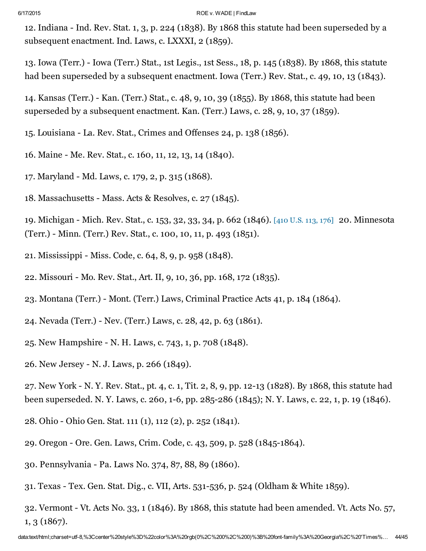12. Indiana - Ind. Rev. Stat. 1, 3, p. 224 (1838). By 1868 this statute had been superseded by a subsequent enactment. Ind. Laws, c. LXXXI, 2 (1859).

13. Iowa (Terr.) Iowa (Terr.) Stat., 1st Legis., 1st Sess., 18, p. 145 (1838). By 1868, this statute had been superseded by a subsequent enactment. Iowa (Terr.) Rev. Stat., c. 49, 10, 13 (1843).

14. Kansas (Terr.) - Kan. (Terr.) Stat., c. 48, 9, 10, 39 (1855). By 1868, this statute had been superseded by a subsequent enactment. Kan. (Terr.) Laws, c. 28, 9, 10, 37 (1859).

- 15. Louisiana La. Rev. Stat., Crimes and Offenses 24, p. 138 (1856).
- 16. Maine Me. Rev. Stat., c. 160, 11, 12, 13, 14 (1840).
- 17. Maryland Md. Laws, c. 179, 2, p. 315 (1868).
- 18. Massachusetts Mass. Acts & Resolves, c. 27 (1845).
- 19. Michigan Mich. Rev. Stat., c. 153, 32, 33, 34, p. 662 (1846). [410 U.S. 113, 176] 20. Minnesota (Terr.) Minn. (Terr.) Rev. Stat., c. 100, 10, 11, p. 493 (1851).
- 21. Mississippi Miss. Code, c. 64, 8, 9, p. 958 (1848).
- 22. Missouri Mo. Rev. Stat., Art. II, 9, 10, 36, pp. 168, 172 (1835).
- 23. Montana (Terr.) Mont. (Terr.) Laws, Criminal Practice Acts 41, p. 184 (1864).
- 24. Nevada (Terr.) Nev. (Terr.) Laws, c. 28, 42, p. 63 (1861).
- 25. New Hampshire N. H. Laws, c. 743, 1, p. 708 (1848).
- 26. New Jersey N. J. Laws, p. 266 (1849).

27. New York - N. Y. Rev. Stat., pt. 4, c. 1, Tit. 2, 8, 9, pp. 12-13 (1828). By 1868, this statute had been superseded. N. Y. Laws, c. 260, 1-6, pp. 285-286 (1845); N. Y. Laws, c. 22, 1, p. 19 (1846).

- 28. Ohio Ohio Gen. Stat. 111 (1), 112 (2), p. 252 (1841).
- 29. Oregon Ore. Gen. Laws, Crim. Code, c. 43, 509, p. 528 (1845-1864).
- 30. Pennsylvania Pa. Laws No. 374, 87, 88, 89 (1860).
- 31. Texas Tex. Gen. Stat. Dig., c. VII, Arts. 531-536, p. 524 (Oldham & White 1859).

32. Vermont Vt. Acts No. 33, 1 (1846). By 1868, this statute had been amended. Vt. Acts No. 57, 1, 3 (1867).